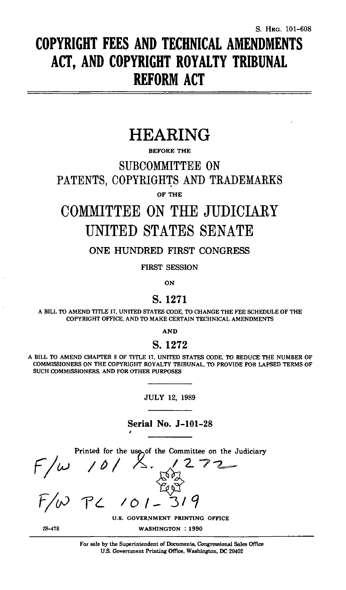# **COPYRIGHT FEES AND TECHNICAL AMENDMENTS ACT, AND COPYRIGHT ROYALTY TRIBUNAL REFORM ACT**

## **HEARING**

BEFORE THE

SUBCOMMITTEE ON

PATENTS, COPYRIGHTS AND TRADEMARKS OF THE

## COMMITTEE ON THE JUDICIARY UNITED STATES SENATE

ONE HUNDRED FIRST CONGRESS

FIRST SESSION

**ON** 

## S.1271

A BILL TO AMEND TITLE 17, UNITED STATES CODE, TO CHANGE THE FEE SCHEDULE OF THE COPYRIGHT OFFICE, AND TO MAKE CERTAIN TECHNICAL AMENDMENTS

**AND** 

S. 1272

A BILL TO AMEND CHAPTER 8 OF TITLE 17, UNITED STATES CODE, TO REDUCE THE NUMBER OF COMMISSIONERS ON THE COPYRIGHT ROYALTY TRIBUNAL, TO PROVIDE FOR LAPSED TERMS OF SUCH COMMISSIONERS, AND FOR OTHER PURPOSES

JULY 12, 1989

Serial No. J-101-28

Printed for the use of the Committee on the Judiciary<br>  $P(\omega \mid \theta)$ <br>
F/ $\omega$  P  $\sim$  101 - 319

 $28 - 478$ 

U.S. GOVERNMENT PRINTING OFFICE

WASHINGTON : 1990

For sale by the Superintendent of Documents, Congressional Sales Office *US.* Government Printing Office, Washington, DC 20402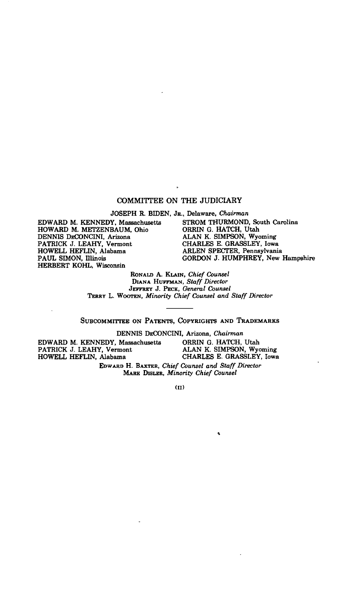## COMMITTEE ON THE JUDICIARY

JOSEPH R. BIDEN, JR., Delaware, *Chairman* 

EDWARD M. KENNEDY, Massachusetts STROM THURMOND, South Carolina HOWARD M. METZENBAUM, Ohio PATRICK J. LEAHY, Vermont CHARLES E. GRASSLEY, Iowa HOWELL HEFLIN, Alabama ARLEN SPECTER, Pennsylvania HERBERT KOHL, Wisconsin

ORRING. HATCH, Utah<br>ALAN K. SIMPSON, Wyoming<br>CHARLES E. GRASSLEY, Iowa PAUL SIMON, Illinois GORDON J. HUMPHREY, New Hampshire

#### RONALD A. KLAIN, *Chief Counsel*  DIANA HUFFMAN, *Staff Director*  JEFFREY J. PECK, *General Counsel*  TERRY L. WOOTEN, *Minority Chief Counsel and Staff Director*

## SUBCOMMITTEE ON PATENTS, COPYRIGHTS AND TRADEMARKS

DENNIS DECONCINI, Arizona, *Chairman* 

EDWARD M. KENNEDY, Massachusetts ORRIN G. HATCH, Utah PATRICK J. LEAHY, Vermont ALAN K. SIMPSON, Wy HOWELL HEFLIN, Alabama

ALAN K. SIMPSON, Wyoming<br>CHARLES E. GRASSLEY, Iowa

 $\bullet$ 

EDWARD H. BAXTER, *Chief Counsel and Staff Director*  MARK DISLER, *Minority Chief Counsel* 

**(II)**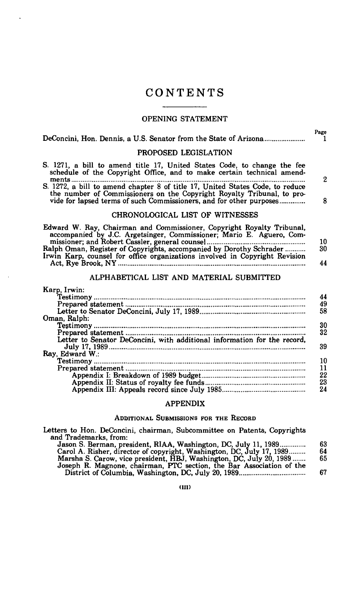## CONTENTS

#### OPENING STATEMENT

| DeConcini, Hon. Dennis, a U.S. Senator from the State of Arizona                                                                                                                                                                                                                                                                                                                                  | Page           |
|---------------------------------------------------------------------------------------------------------------------------------------------------------------------------------------------------------------------------------------------------------------------------------------------------------------------------------------------------------------------------------------------------|----------------|
| PROPOSED LEGISLATION                                                                                                                                                                                                                                                                                                                                                                              |                |
| S. 1271, a bill to amend title 17, United States Code, to change the fee<br>schedule of the Copyright Office, and to make certain technical amend-                                                                                                                                                                                                                                                | $\mathbf{2}$   |
| S. 1272, a bill to amend chapter 8 of title 17, United States Code, to reduce<br>the number of Commissioners on the Copyright Royalty Tribunal, to pro-<br>vide for lapsed terms of such Commissioners, and for other purposes                                                                                                                                                                    | 8              |
| CHRONOLOGICAL LIST OF WITNESSES                                                                                                                                                                                                                                                                                                                                                                   |                |
| Edward W. Ray, Chairman and Commissioner, Copyright Royalty Tribunal,<br>accompanied by J.C. Argetsinger, Commissioner; Mario E. Aguero, Com-<br>missioner; and Robert Cassler, general counsel<br>Ralph Oman, Register of Copyrights, accompanied by Dorothy Schrader<br>Irwin Karp, counsel for office organizations involved in Copyright Revision<br>ALPHABETICAL LIST AND MATERIAL SUBMITTED | 10<br>30<br>44 |
| Karp, Irwin:                                                                                                                                                                                                                                                                                                                                                                                      | 44<br>49<br>58 |
| Oman, Ralph:<br>Letter to Senator DeConcini, with additional information for the record,                                                                                                                                                                                                                                                                                                          | 30<br>32<br>39 |
| Ray, Edward W.:                                                                                                                                                                                                                                                                                                                                                                                   | 10<br>11       |

#### APPENDIX

Appendix I: Breakdown of 1989 budget 22 Appendix II: Status of royalty fee funds 23 Appendix III: Appeals record since July 1985 24

#### ADDITIONAL SUBMISSIONS FOR THE RECORD

Letters to Hon. DeConcini, chairman, Subcommittee on Patents, Copyrights and Trademarks, from: Jason S. Berman, president, RIAA, Washington, DC, July 11, 1989 63

| Jason S. Berman, president, RIAA, Washington, DC, July 11, 1989       | 63. |
|-----------------------------------------------------------------------|-----|
| Carol A. Risher, director of copyright, Washington, DC, July 17, 1989 | 64  |
| Marsha S. Carow, vice president, HBJ, Washington, DC, July 20, 1989   | 65  |
| Joseph R. Magnone, chairman, PTC section, the Bar Association of the  |     |
|                                                                       | 67  |
|                                                                       |     |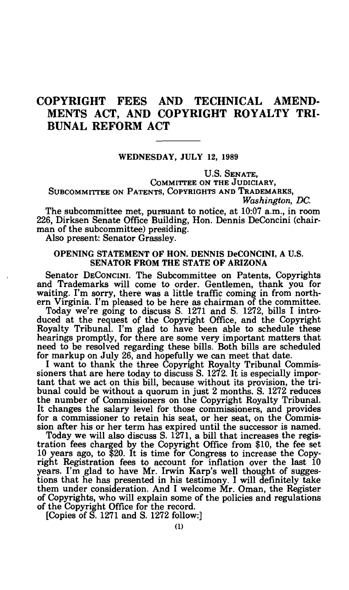## COPYRIGHT FEES AND TECHNICAL AMEND-MENTS ACT, AND COPYRIGHT ROYALTY TRI-BUNAL REFORM ACT

## WEDNESDAY, JULY 12, 1989

U.S. SENATE, COMMITTEE ON THE JUDICIARY, SUBCOMMITTEE ON PATENTS, COPYRIGHTS AND TRADEMARKS, *Washington, DC.* 

The subcommittee met, pursuant to notice, at 10:07 a.m., in room 226, Dirksen Senate Office Building, Hon. Dennis DeConcini (chairman of the subcommittee) presiding.

Also present: Senator Grassley.

## OPENING STATEMENT OF HON. DENNIS DeCONCINI, A U.S. SENATOR FROM THE STATE OF ARIZONA

Senator DECONCINI. The Subcommittee on Patents, Copyrights and Trademarks will come to order. Gentlemen, thank you for waiting. I'm sorry, there was a little traffic coming in from northern Virginia. I'm pleased to be here as chairman of the committee.

Today we're going to discuss S. 1271 and S. 1272, bills I introduced at the request of the Copyright Office, and the Copyright Royalty Tribunal. I'm glad to have been able to schedule these hearings promptly, for there are some very important matters that need to be resolved regarding these bills. Both bills are scheduled for markup on July 26, and hopefully we can meet that date.

I want to thank the three Copyright Royalty Tribunal Commissioners that are here today to discuss S. 1272. It is especially important that we act on this bill, because without its provision, the tribunal could be without a quorum in just 2 months. S. 1272 reduces the number of Commissioners on the Copyright Royalty Tribunal. It changes the salary level for those commissioners, and provides for a commissioner to retain his seat, or her seat, on the Commission after his or her term has expired until the successor is named.

Today we will also discuss S. 1271, a bill that increases the registration fees charged by the Copyright Office from \$10, the fee set 10 years ago, to \$20. It is time for Congress to increase the Copyright Registration fees to account for inflation over the last 10 years. I'm glad to have Mr. Irwin Karp's well thought of suggestions that he has presented in his testimony. I will definitely take them under consideration. And I welcome Mr. Oman, the Register of Copyrights, who will explain some of the policies and regulations of the Copyright Office for the record.

[Copies of S. 1271 and S. 1272 follow:]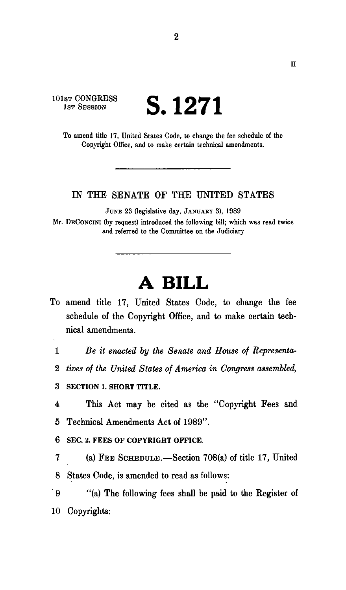## 101st **CONGRESS**<br>1st SESSION **S.** 1271

To amend title 17, United States Code, to change the fee schedule of the Copyright Office, and to make certain technical amendments.

## LN THE SENATE OF THE UNITED STATES

JUNE 23 (legislative day, JANUARY 3), 1989

Mr. DECONCINI (by request) introduced the following bill; which was read twice and referred to the Committee on the Judiciary

## **A BILL**

- To amend title 17, United States Code, to change the fee schedule of the Copyright Office, and to make certain technical amendments.
- 

1 *Be it enacted by the Senate and House of Representa-*

- 2 *tives of the United States of America in Congress assembled,*
- **3 SECTION 1. SHORT TITLE.**

4 This Act may be cited as the "Copyright Fees and 5 Technical Amendments Act of 1989".

- **6 SEC. 2. FEES OF COPYRIGHT OFFICE.**
- 7 (a) FEB SCHEDULE.—Section 708(a) of title 17, United 8 States Code, is amended to read as follows:

9 "(a) The following fees shall be paid to the Register of 10 Copyrights: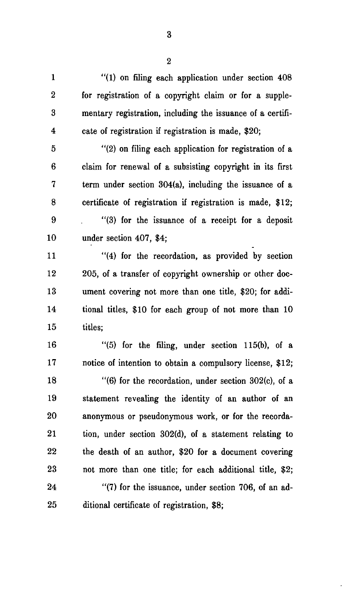1 "(1) on filing each application under section 408 2 for registration of a copyright claim or for a supple-3 mentary registration, including the issuance of a certifi-4 cate of registration if registration is made, \$20; 5 "(2) on filing each application for registration of a 6 claim for renewal of a subsisting copyright in its first

7 term under section 304(a), including the issuance of a 8 certificate of registration if registration is made, \$12; 9 "(3) for the issuance of a receipt for a deposit 10 under section 407, \$4;

11 "(4) for the recordation, as provided by section 12 205, of a transfer of copyright ownership or other doc-13 ument covering not more than one title, \$20; for addi-14 tional titles, \$10 for each group of not more than 10 15 titles;

16 "(5) for the filing, under section 115(b), of a 17 notice of intention to obtain a compulsory license, \$12; 18 "(6) for the recordation, under section 302(c), of a 19 statement revealing the identity of an author of an 20 anonymous or pseudonymous work, or for the recorda-21 tion, under section 302(d), of a statement relating to 22 the death of an author, \$20 for a document covering

24 "(7) for the issuance, under section 706, of an ad-25 ditional certificate of registration, \$8;

23 not more than one title; for each additional title, \$2;

**3**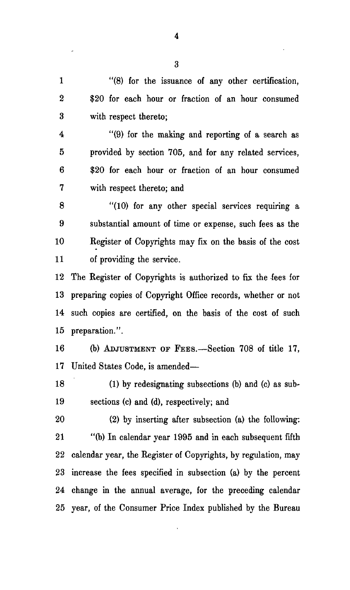1 "(8) for the issuance of any other certification, 2 \$20 for each hour or fraction of an hour consumed 3 with respect thereto;

4 "(9) for the making and reporting of a search as 5 provided by section 705, and for any related services, 6 \$20 for each hour or fraction of an hour consumed 7 with respect thereto; and

8 "(10) for any other special services requiring a 9 substantial amount of time or expense, such fees as the 10 Kegister of Copyrights may fix on the basis of the cost 11 of providing the service.

12 The Register of Copyrights is authorized to fix the fees for 13 preparing copies of Copyright Office records, whether or not 14 such copies are certified, on the basis of the cost of such 15 preparation.".

16 (b) ADJUSTMENT OF FEES.—Section 708 of title 17, 17 United States Code, is amended—

18 (1) by redesignating subsections (b) and (c) as sub-19 sections (c) and (d), respectively; and

20 (2) by inserting after subsection (a) the following: 21 "(b) In calendar year 1995 and in each subsequent fifth 22 calendar year, the Register of Copyrights, by regulation, may 23 increase the fees specified in subsection (a) by the percent 24 change in the annual average, for the preceding calendar 25 year, of the Consumer Price Index published by the Bureau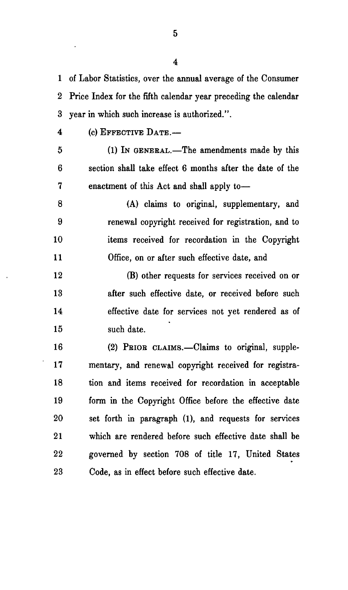1 of Labor Statistics, over the annual average of the Consumer 2 Price Index for the fifth calendar year preceding the calendar 3 year in which such increase is authorized.".

4 (c) EFFECTIVE DATE.—

5 (1) IN GENERAL.—The amendments made by this 6 section shall take effect 6 months after the date of the 7 enactment of this Act and shall apply to—

8 (A) claims to original, supplementary, and 9 renewal copyright received for registration, and to 10 items received for recordation in the Copyright 11 Office, on or after such effective date, and

12 (B) other requests for services received on or 13 after such effective date, or received before such 14 effective date for services not yet rendered as of 15 such date.

16 (2) PBIOB CLAIMS.—Claims to original, supple-17 mentary, and renewal copyright received for registra-18 tion and items received for recordation in acceptable 19 form in the Copyright Office before the effective date 20 set forth in paragraph (1), and requests for services 21 which are rendered before such effective date shall be 22 governed by section 708 of title 17, United States 23 Code, as in effect before such effective date.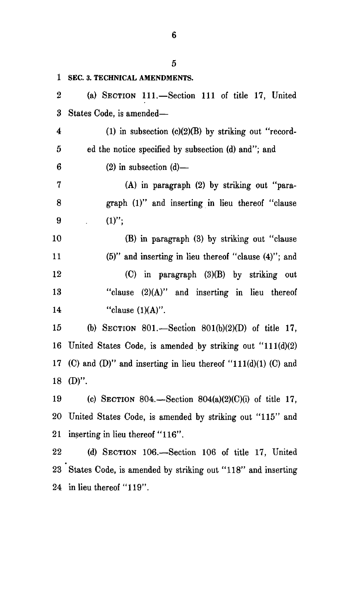|        | 5                                                                |  |  |  |  |  |
|--------|------------------------------------------------------------------|--|--|--|--|--|
| 1      | SEC. 3. TECHNICAL AMENDMENTS.                                    |  |  |  |  |  |
| 2      | (a) SECTION 111.-Section 111 of title 17, United                 |  |  |  |  |  |
| 3      | States Code, is amended—                                         |  |  |  |  |  |
| 4      | (1) in subsection $(c)(2)(B)$ by striking out "record-           |  |  |  |  |  |
| 5      | ed the notice specified by subsection (d) and"; and              |  |  |  |  |  |
| 6      | $(2)$ in subsection $(d)$ —                                      |  |  |  |  |  |
| 7      | (A) in paragraph (2) by striking out "para-                      |  |  |  |  |  |
| 8      | graph (1)" and inserting in lieu thereof "clause                 |  |  |  |  |  |
| 9      | $(1)$ ";                                                         |  |  |  |  |  |
| 10     | (B) in paragraph (3) by striking out "clause                     |  |  |  |  |  |
| 11     | (5)" and inserting in lieu thereof "clause (4)"; and             |  |  |  |  |  |
| 12     | (C) in paragraph (3)(B) by striking out                          |  |  |  |  |  |
| 13     | "clause (2)(A)" and inserting in lieu thereof                    |  |  |  |  |  |
| 14     | "clause $(1)(A)$ ".                                              |  |  |  |  |  |
| 15     | (b) SECTION 801.-Section 801(b)(2)(D) of title 17,               |  |  |  |  |  |
| 16     | United States Code, is amended by striking out $"111(d)(2)$      |  |  |  |  |  |
| 17     | (C) and (D)" and inserting in lieu thereof " $111(d)(1)$ (C) and |  |  |  |  |  |
| 18     | $(D)$ ".                                                         |  |  |  |  |  |
| 19     | (c) SECTION 804.—Section $804(a)(2)(C)(i)$ of title 17,          |  |  |  |  |  |
| $20\,$ | United States Code, is amended by striking out "115" and         |  |  |  |  |  |
| $21\,$ | inserting in lieu thereof "116".                                 |  |  |  |  |  |
| 22     | (d) SECTION 106.-Section 106 of title 17, United                 |  |  |  |  |  |
|        | 23 States Code, is amended by striking out "118" and inserting   |  |  |  |  |  |
| $24\,$ | in lieu thereof "119".                                           |  |  |  |  |  |
|        |                                                                  |  |  |  |  |  |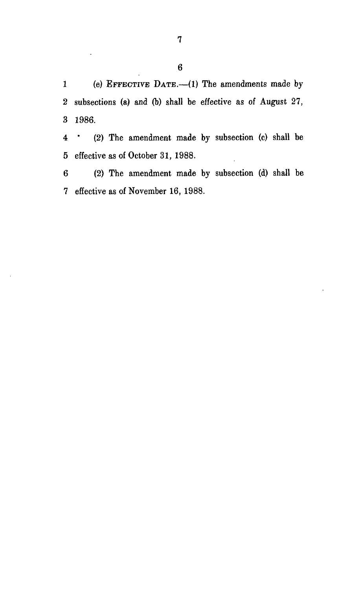1 (e) EFFECTIVE DATE.—(1) The amendments made by 2 subsections (a) and (b) shall be effective as of August 27, 3 1986.

4 " (2) The amendment made by subsection (c) shall be 5 effective as of October 31, 1988.

6 (2) The amendment made by subsection (d) shall be 7 effective as of November 16, 1988.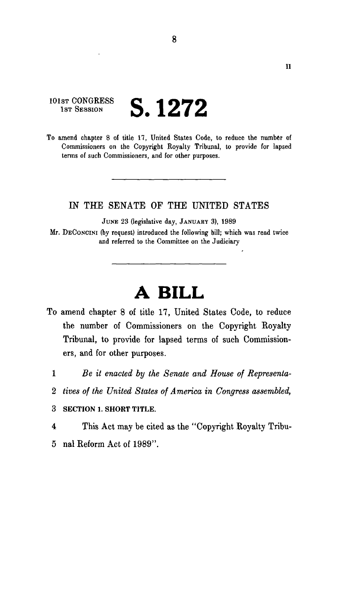101st CONGRESS<br>1st Session 1ST SESSION **S. 1272** 

To amend chapter 8 of title 17, United States Code, to reduce the number of Commissioners on the Copyright Royalty Tribunal, to provide for lapsed terms of such Commissioners, and for other purposes.

**8** 

## LN THE SENATE OF THE UNITED STATES

JUNE 23 (legislative day, JANUARY 3), 1989

Mr. DECONCINI (by request) introduced the following bill; which was read twice and referred to the Committee on the Judiciary

## **A BILL**

- To amend chapter 8 of title 17, United States Code, to reduce the number of Commissioners on the Copyright Royalty Tribunal, to provide for lapsed terms of such Commissioners, and for other purposes.
	- 1 *Be it enacted by the Senate and House of Representa-*
	- 2 *tives of the United States of America in Congress assembled,*
	- 3 SECTION 1. SHORT TITLE.
	- 4 This Act may be cited as the "Copyright Royalty Tribu-
	- 5 nal Reform Act of 1989".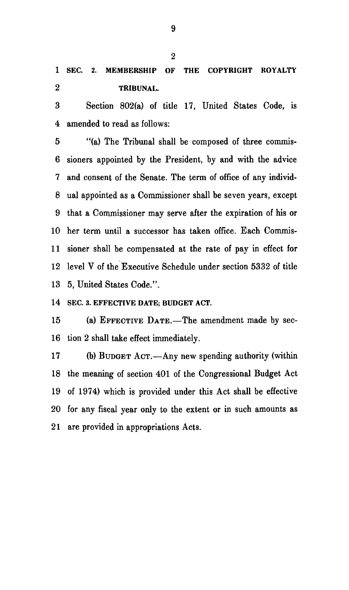**1 SEC. 2. MEMBERSHIP OF THE COPYRIGHT ROYALTY 2 TRIBUNAL.** 

3 Section 802(a) of title 17, United States Code, is 4 amended to read as follows:

5 "(a) The Tribunal shall be composed of three commis-6 sioners appointed by the President, by and with the advice 7 and consent of the Senate. The term of office of any individ-8 ual appointed as a Commissioner shall be seven years, except 9 that a Commissioner may serve after the expiration of his or 10 her term until a successor has taken office. Each Commis-11 sioner shall be compensated at the rate of pay in effect for 12 level V of the Executive Schedule under section 5332 of title 13 5, United States Code.".

**14 SEC. 3. EFFECTIVE DATE; BUDGET ACT.** 

15 (a) EFFECTIVE DATE.—The amendment made by sec-16 tion 2 shall take effect immediately.

17 (b) BUDGET ACT.—Any new spending authority (within 18 the meaning of section 401 of the Congressional Budget Act 19 of 1974) which is provided under this Act shall be effective 20 for any fiscal year only to the extent or in such amounts as 21 are provided in appropriations Acts.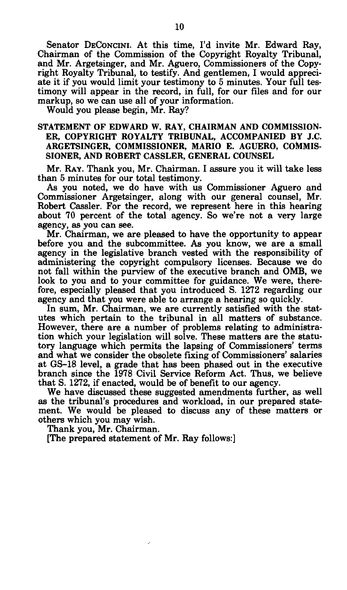Senator DECONCINI. At this time, I'd invite Mr. Edward Ray, Chairman of the Commission of the Copyright Royalty Tribunal, and Mr. Argetsinger, and Mr. Aguero, Commissioners of the Copyright Royalty Tribunal, to testify. And gentlemen, I would appreciate it if you would limit your testimony to 5 minutes. Your full testimony will appear in the record, in full, for our files and for our markup, so we can use all of your information.

Would you please begin, Mr. Ray?

## STATEMENT OF EDWARD W. RAY, CHAIRMAN AND COMMISSION-ER, COPYRIGHT ROYALTY TRIBUNAL, ACCOMPANIED BY J.C. ARGETSINGER, COMMISSIONER, MARIO E. AGUERO, COMMIS-SIONER, AND ROBERT CASSLER, GENERAL COUNSEL

Mr. RAY. Thank you, Mr. Chairman. I assure you it will take less than 5 minutes for our total testimony.

As you noted, we do have with us Commissioner Aguero and Commissioner Argetsinger, along with our general counsel, Mr. Robert Cassler. For the record, we represent here in this hearing about 70 percent of the total agency. So we're not a very large agency, as you can see.

Mr. Chairman, we are pleased to have the opportunity to appear before you and the subcommittee. As you know, we are a small agency in the legislative branch vested with the responsibility of administering the copyright compulsory licenses. Because we do not fall within the purview of the executive branch and OMB, we look to you and to your committee for guidance. We were, therefore, especially pleased that you introduced S. 1272 regarding our agency and that you were able to arrange a hearing so quickly.

In sum, Mr. Chairman, we are currently satisfied with the statutes which pertain to the tribunal in all matters of substance. However, there are a number of problems relating to administration which your legislation will solve. These matters are the statutory language which permits the lapsing of Commissioners' terms and what we consider the obsolete fixing of Commissioners' salaries at GS-18 level, a grade that has been phased out in the executive branch since the 1978 Civil Service Reform Act. Thus, we believe that S. 1272, if enacted, would be of benefit to our agency.

We have discussed these suggested amendments further, as well as the tribunal's procedures and workload, in our prepared statement. We would be pleased to discuss any of these matters or others which you may wish.

Thank you, Mr. Chairman.

[The prepared statement of Mr. Ray follows:]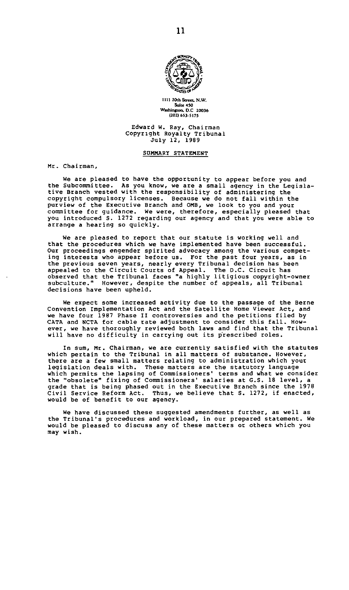

**1111 20th** *Sam.* **N.W. Washington, D.C 20036**<br>
(202) 653-5175

#### **Edward W. Ray, Chairman Copyright Royalty Tribunal July 12, 1989**

#### **SOMMARY STATEMENT**

**Mr. Chairman,** 

**We are pleased to have the opportunity to appear before you and**  the Subcommittee. As you know, we are a small agency in the Legisla-<br>tive Branch vested with the responsibility of administering the<br>copyright compulsory licenses. Because we do not fall within the<br>purview of the Executive **you introduced S. 1272 regarding our agency and that you were able to arrange a hearing so quickly.** 

**We are pleased to report that our statute is working well and that the procedures which we have implemented have been successful. Our proceedings engender spirited advocacy among the various competing interests who appear before us. For the past four years, as in the previous seven years, nearly every Tribunal decision has been appealed to the Circuit Courts of Appeal. The D.C. Circuit has observed that the Tribunal faces "a highly litigious copyright-owner subculture." However, despite the number of appeals, all Tribunal decisions have been upheld.** 

**We expect some increased activity due to the passage of the Berne Convention Implementation Act and the Satellite Home viewer Act, and we have four 1987 Phase II controversies and the petitions filed by CATA and NCTA for cable rate adjustment to consider this fall. However, we have thoroughly reviewed both laws and find that the Tribunal will have no difficulty in carrying out its prescribed roles.** 

**In sum, Mr. Chairman, we are currently satisfied with the statutes which pertain to the Tribunal in all matters of substance. However, there are a few small matters relating to administration which your**  legislation deals with. These matters are the statutory language<br>which permits the lapsing of Commissioners' terms and what we consider<br>the "obsolete" fixing of Commissioners' salaries at G.S. 18 level, a **grade that is being phased out in the Executive Branch since the 1978 Civil Service Reform Act. Thus, we believe that S. 1272, if enacted, would be of benefit to our agency.** 

**We have discussed these suggested amendments further, as well as the Tribunal's procedures and workload, in our prepared statement. We would be pleased to discuss any of these matters or others which you may wish.**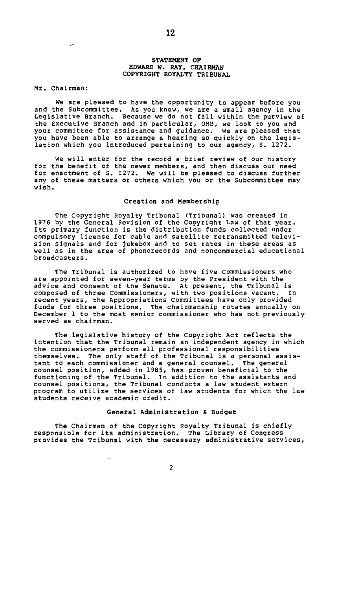## **STATEMENT OF EDWARD W. RAY, CHAIRMAN COPYRIGHT ROYALTY TRIBUNAL**

Mr. Chairman:

We are pleased to have the opportunity to appear before you and the Subcommittee. As you know, we are a small agency in the Legislative Branch. Because we do not fall within the purview of the Executive Branch and in particular, OMB, we look to you and your committee for assistance and guidance. We are pleased that you have been able to arrange a hearing so quickly on the legislation which you introduced pertaining to our agency, S. 1272.

We will enter for the record a brief review of our history for the benefit of the newer members, and then discuss our need for enactment of S. 1272. We will be pleased to discuss further any of these matters or others which you or the Subcommittee may wish.

#### **Creation** and **Membership**

The Copyright Royalty Tribunal (Tribunal) was created in 1976 by the General Revision of the Copyright Law of that year. Its primary function is the distribution funds collected under compulsory license for cable and satellite retransmitted television signals and for jukebox and to set rates in these areas as well as in the area of phonorecords and noncommercial educational broadcasters.

The Tribunal is authorized to have five Commissioners who are appointed for seven-year terms by the President with the advice and consent of the Senate. At present, the Tribunal is composed of three Commissioners, with two positions vacant. In recent years, the Appropriations Committees have only provided funds for three positions. The chairmanship rotates annually on December 1 to the most senior commissioner who has not previously served as chairman.

The legislative history of the Copyright Act reflects the intention that the Tribunal remain an independent agency in which the commissioners perform all professional responsibilities themselves. The only staff of the Tribunal is a personal assistant to each commissioner and a general counsel. The general counsel position, added in 1985, has proven beneficial to the functioning of the Tribunal. In addition to the assistants and counsel positions, the Tribunal conducts a law student extern program to utilize the services of law students for which the law students receive academic credit.

#### **General Administration & Budget**

The Chairman of the Copyright Royalty Tribunal is chiefly responsible for its administration. The Library of Congress provides the Tribunal with the necessary administrative services.

 $\overline{2}$ 

 $\cdot$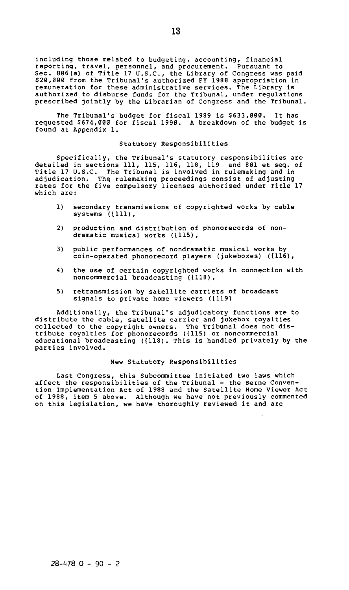including those related to budgeting, accounting, financial reporting, travel, personnel, and procurement. Pursuant to Sec. 806(a) of Title 17 U.S.C., the Library of Congress was paid 320,000 from the Tribunal's authorized FY 1988 appropriation in remuneration for these administrative services. The Library is authorized to disburse funds for the Tribunal, under regulations prescribed jointly by the Librarian of Congress and the Tribunal.

The Tribunal's budget for fiscal 1989 is \$633,000. It has requested \$674,000 for fiscal 1990. A breakdown of the budget is found at Appendix 1.

#### **Statutory Responsibilities**

Specifically, the Tribunal's statutory responsibilities are<br>detailed in sections 111, 115, 116, 118, 119 and 801 et seq. of<br>Title 17 U.S.C. The Tribunal is involved in rulemaking and in<br>adjudication. The rulemaking proceed which are:

- 1) secondary transmissions of copyrighted works by cable systems (1111),
- 2) production and distribution of phonorecords of nondramatic musical works (1115),
- 3) public performances of nondramatic musical works by coin-operated phonorecord players (jukeboxes) ({116),
- 4) the use of certain copyrighted works in connection with noncommercial broadcasting ({118).
- 5) retransmission by satellite carriers of broadcast signals to private home viewers ({119)

Additionally, the Tribunal's adjudicatory functions are to distribute the cable, satellite carrier and jukebox royalties collected to the copyright owners. The Tribunal does not dis-tribute royalties for phonorecords ({115) or noncommercial educational broadcasting ({118). This is handled privately by the parties involved.

#### **New Statutory Responsibilities**

Last Congress, this Subcommittee initiated two laws which affect the responsibilities of the Tribunal - the Berne Convention Implementation Act of 1988 and the Satellite Home Viewer Act of 1988, item 5 above. Although we have not previously commented on this legislation, we have thoroughly reviewed it and are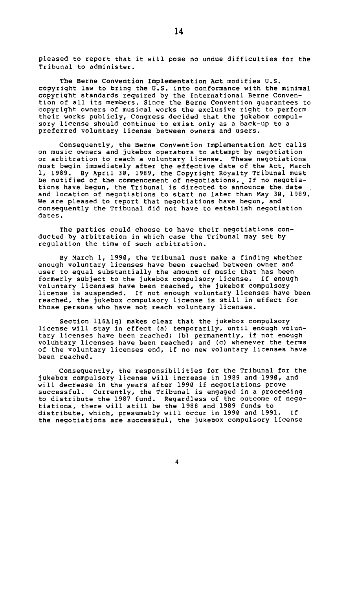pleased to report that it will pose no undue difficulties for the Tribunal to administer.

**The Berne Convention Implementation Act** modifies U.S. copyright law to bring the U.S. into conformance with the minimal copyright standards required by the International Berne Conven-tion of all its members. Since the Berne Convention guarantees to copyright owners of musical works the exclusive right to perform their works publicly. Congress decided that the jukebox compulsory license should continue to exist only as a back-up to a preferred voluntary license between owners and users.

Consequently, the Berne Convention Implementation Act calls on music owners and jukebox operators to attempt by negotiation or arbitration to reach a voluntary license. These negotiations must begin immediately after the effective date of the Act, March 1, 1989. By April 30, 1989, the Copyright Royalty Tribunal must be notified of the commencement of negotiations. If no negotiations have begun, the Tribunal is directed to announce the. date and location of negotiations to start no later than May 30, 1989. We are pleased to report that negotiations have begun, and consequently the Tribunal did not have to establish negotiation dates.

The parties could choose to have their negotiations conducted by arbitration in which case the Tribunal may set by regulation the time of such arbitration.

By March 1, 1990, the Tribunal must make a finding whether enough voluntary licenses have been reached between owner and user to equal substantially the amount of music that has been formerly subject to the jukebox compulsory license. If enough voluntary licenses have been reached, the jukebox compulsory license is suspended. If not enough voluntary licenses have been reached, the jukebox compulsory license is still in effect for those persons who have not reach voluntary licenses.

Section 116A(g) makes clear that the jukebox compulsory license will stay in effect (a) temporarily, until enough voluntary licenses have been reached; (b) permanently, if not enough voluntary licenses have been reached; and (c) whenever the terms of the voluntary licenses end, if no new voluntary licenses have been reached.

Consequently, the responsibilities for the Tribunal for the<br>jukebox compulsory license will increase in 1989 and 1990, and<br>will decrease in the years after 1990 if negotiations prove<br>successful. Currently, the Tribunal is tiations, there will still be the 1988 and 1989 funds to distribute, which, presumably will occur in 1990 and 1991. If the negotiations are successful, the jukebox compulsory license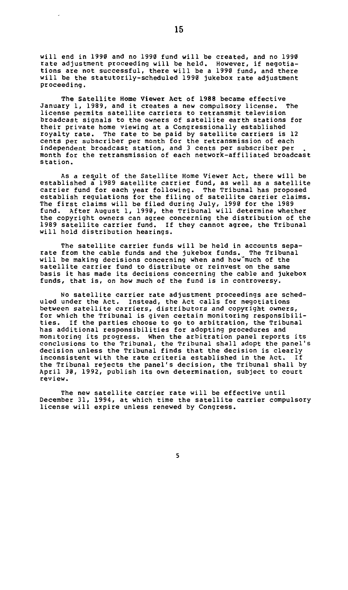will end in 1990 and no 1990 fund will be created, and no 1990 rate adjustment proceeding will be held. However, if negotia-tions are not successful, there will be a 1990 fund, and there will be the statutorily-scheduled 1990 jukebox rate adjustment proceeding.

**The Satellite Home Viewer Act of 1988** became effective January 1, 1989, and it creates a new compulsory license. The license permits satellite carriers to retransmit television broadcast signals to the owners of satellite earth stations for their private home viewing at a Congressionally established royalty rate. The rate to be paid by satellite carriers is 12 cents per subscriber per month for the retransmission of each independent broadcast station, and 3 cents per subscriber per month for the retransmission of each network-affiliated broadcast station.

As a result of the Satellite Home Viewer Act, there will be established a 1989 satellite carrier fund, as well as a satellite carrier fund for each year following. The Tribunal has proposed establish regulations for the filing of satellite carrier claims. The first claims will be filed during July, 1990 for the 1989 fund. After August 1, 1990, the Tribunal will determine whether the copyright owners can agree concerning the distribution of the 1989 satellite carrier fund. If they cannot agree, the Tribunal will hold distribution hearings.

The satellite carrier funds will be held in accounts separate from the cable funds and the jukebox funds. The Tribunal will be making decisions concerning when and how'much of the satellite carrier fund to distribute or reinvest on the same basis it has made its decisions concerning the cable and jukebox funds, that is, on how much of the fund is in controversy.

No satellite carrier rate adjustment proceedings are scheduled under the Act. Instead, the Act calls for negotiations between satellite carriers, distributors and copyright owners, for which the Tribunal is given certain monitoring responsibilities. If the parties choose to go to arbitration, the Tribunal has additional responsibilities for adopting procedures and monitoring its progress. When the arbitration panel reports its conclusions to the Tribunal, the Tribunal shall adopt the panel's decision unless the Tribunal finds that the decision is clearly inconsistent with the rate criteria established in the Act. If the Tribunal rejects the panel's decision, the Tribunal shall by April 30, 1992, publish its own determination, subject to court review.

The new satellite carrier rate will be effective until December 31, 1994, at which time the satellite carrier compulsory license will expire unless renewed by Congress.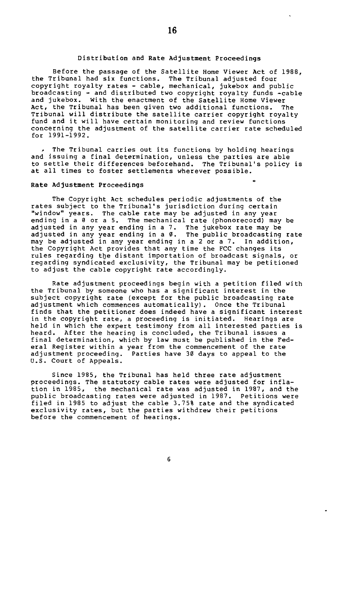#### **Distribution and Rate Adjustment Proceedings**

Before the passage of the Satellite Home Viewer Act of 1988, the Tribunal had six functions. The Tribunal adjusted four<br>copyright royalty rates - cable, mechanical, jukebox and public<br>broadcasting - and distributed two copyright royalty funds -cable<br>and jukebox. With the enactment o Act, the Tribunal has been given two additional functions. The Tribunal will distribute the satellite carrier copyright royalty fund and it will have certain monitoring and review functions concerning the adjustment of the satellite carrier rate scheduled for 1991-1992.

The Tribunal carries out its functions by holding hearings and issuing a final determination, unless the parties are able to settle their differences beforehand. The Tribunal's policy is at all times to foster settlements wherever possible.

#### **Rate Adjustment Proceedings**

The Copyright Act schedules periodic adjustments of the rates subject to the Tribunal's jurisdiction during certain "window" years. The cable rate may be adjusted in any year<br>ending in a 0 or a 5. The mechanical rate (phonorecord) may be adjusted in any year ending in a 7. The jukebox rate may be<br>adjusted in any year ending in a 0. The public broadcasting rate<br>may be adjusted in any year ending in a 2 or a 7. In addition,<br>the Copyright Act provides that an rules regarding the distant importation of broadcast signals, or regarding syndicated exclusivity, the Tribunal may be petitioned to adjust the cable copyright rate accordingly.

Rate adjustment proceedings begin with a petition filed with the Tribunal by someone who has a significant interest in the subject copyright rate (except for the public broadcasting rate adjustment which commences automatically). Once the Tribunal finds that the petitioner does indeed have a significant interest in the copyright rate, a proceeding is initiated. Hearings are held in which the expert testimony from all interested parties is heard. After the hearing is concluded, the Tribunal issues a final determination, which by law must be published in the Federal Register within a year from the commencement of the rate Parties have 30 days to appeal to the adjustment proceeding.<br>U.S. Court of Appeals.

Since 1985, the Tribunal has held three rate adjustment proceedings. The statutory cable rates were adjusted for infla-tion in 1985, the mechanical rate was adjusted in 1987, and the public broadcasting rates were adjusted in 1987. Petitions were filed in 1985 to adjust the cable 3.75% rate and the syndicated exclusivity rates, but the parties withdrew their petitions before the commencement of hearings.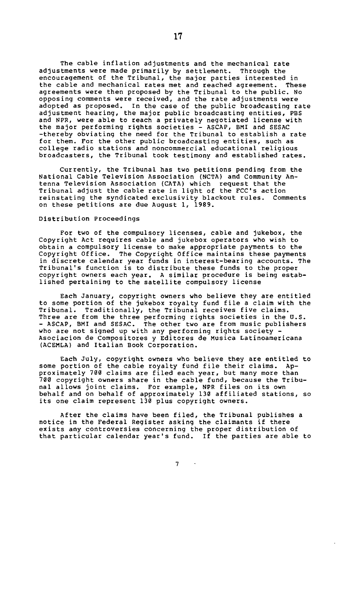The cable inflation adjustments and the mechanical rate adjustments were made primarily by settlement. Through the encouragement of the Tribunal, the major parties interested in the cable and mechanical rates met and reached agreement. These agreements were then proposed by the Tribunal to the public. No opposing comments were received, and the rate adjustments were adopted as proposed. In the case of the public broadcasting rate adjustment hearing, the major public broadcasting entities, PBS and NPR, were able to reach a privately negotiated license with the major performing rights societies - ASCAP, BMI and SESAC -thereby obviating the need for the Tribunal to establish a rate for them. For the other public broadcasting entities, such as college radio stations and noncommercial educational religious broadcasters, the Tribunal took testimony and established rates.

Currently, the Tribunal has two petitions pending from the National Cable Television Association (NCTA) and Community Antenna Television Association (CATA) which request that the Tribunal adjust the cable rate in light of the FCC's action reinstating the syndicated exclusivity blackout rules. Comments on these petitions are due August 1, 1989.

#### Distribution Proceedings

For two of the compulsory licenses, cable and jukebox, the Copyright Act requires cable and jukebox operators who wish to obtain a compulsory license to make appropriate payments to the Copyright Office. The Copyright Office maintains these payments in discrete calendar year funds in interest-bearing accounts. The Tribunal's function is to distribute these funds to the proper copyright owners each year. A similar procedure is being established pertaining to the satellite compulsory license

Each January, copyright owners who believe they are entitled<br>to some portion of the jukebox royalty fund file a claim with the<br>Tribunal. Traditionally, the Tribunal receives five claims.<br>Three are from the three performing who are not signed up with any performing rights society - Asociacion de Compositores y Editores de Musica Latinoamericana (ACEMLA) and Italian Book Corporation.

Each July, copyright owners who believe they are entitled to some portion of the cable royalty fund file their claims. Ap-proximately 700 claims are filed each year, but many more than 700 copyright owners share in the cable fund, because the Tribunal allows joint claims. For example, NPR files on its own behalf and on behalf of approximately 130 affiliated stations, so its one claim represent 130 plus copyright owners.

After the claims have been filed, the Tribunal publishes a notice in the Federal Register asking the claimants if there exists any controversies concerning the proper distribution of that particular calendar year's fund. If the parties are able to

7

 $\sim$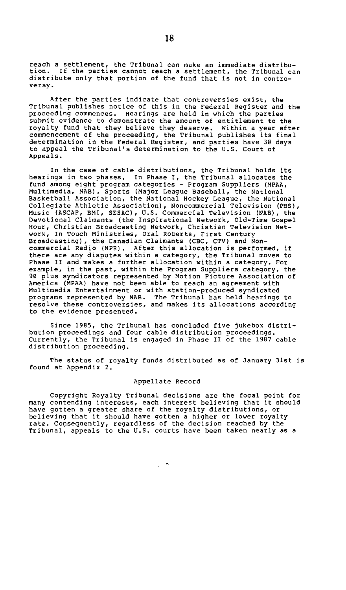reach a settlement, the Tribunal can make an immediate distribu-tion. If the parties cannot reach a settlement, the Tribunal can distribute only that portion of the fund that is not in controversy.

After the parties indicate that controversies exist, the Tribunal publishes notice of this in the Federal Register and the proceeding commences. Hearings are held in which the parties submit evidence to demonstrate the amount of entitlement to the royalty fund that they believe they deserve. Within a year after commencement of the proceeding, the Tribunal publishes its final determination in the Federal Register, and parties have 30 days to appeal the Tribunal's determination to the U.S. Court of Appeals.

In the case of cable distributions, the Tribunal holds its hearings in two phases. In Phase I, the Tribunal allocates the fund among eight program categories - Program Suppliers (MPAA, Multimedia, NAB), Sports (Major League Baseball, the National Basketball Association, the National Hockey League, the National Collegiate Athletic Association), Noncommercial Television (PBS), Music (ASCAP, BMI, SESAC), U.S. Commercial Television (NAB), the Devotional Claimants (the Inspirational Network, Old-Time Gospel Hour, Christian Broadcasting Network, Christian Television Network, In Touch Ministries, Oral Roberts, First Century Broadcasting), the Canadian Claimants (CBC, CTV) and Noncommercial Radio (NPR). After this allocation is performed, if there are any disputes within a category, the Tribunal moves to Phase II and makes a further allocation within a category. For example, in the past, within the Program Suppliers category, the 90 plus syndicators represented by Motion Picture Association of America (MPAA) have not been able to reach an agreement with Multimedia Entertainment or with station-produced syndicated programs represented by NAB. The Tribunal has held hearings to resolve these controversies, and makes its allocations according to the evidence presented.

Since 1985, the Tribunal has concluded five jukebox distribution proceedings and four cable distribution proceedings. Currently, the Tribunal is engaged in Phase II of the 1987 cable distribution proceeding.

The status of royalty funds distributed as of January 31st is found at Appendix 2.

#### Appellate Record

Copyright Royalty Tribunal decisions are the focal point for many contending interests, each interest believing that it should have gotten a greater share of the royalty distributions, or believing that it should have gotten a higher or lower royalty rate. Consequently, regardless of the decision reached by the Tribunal, appeals to the U.S. courts have been taken nearly as a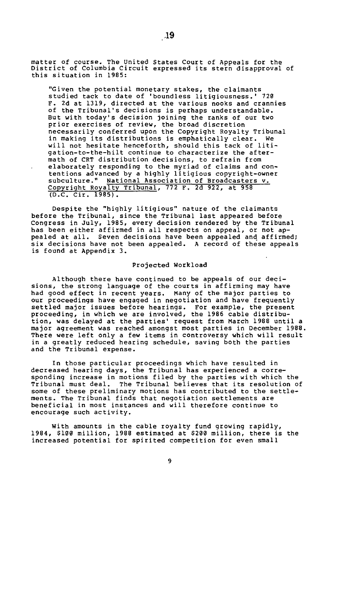matter of course. The United States Court of Appeals for the District of Columbia Circuit expressed its stern disapproval of this situation in 1985:

"Given the potential monetary stakes, the claimants studied tack to date of 'boundless litigiousness. ' 720 F. 2d at 1319, directed at the various nooks and crannies of the Tribunal's decisions is perhaps understandable. But with today's decision joining the ranks of our two prior exercises of review, the broad discretion necessarily conferred upon the Copyright Royalty Tribunal in making its distributions is emphatically clear. We will not hesitate henceforth, should this tack of litigation-to-the-hilt continue to characterize the aftermath of CRT distribution decisions, to refrain from elaborately responding to the myriad of claims and contentions advanced by a highly litigious copyright-owner<br>subculture." National Association of Broadcasters v.<br>Copyright Royalty Tribunal, 772 F. 2d 922, at 958 (D.C. Cir. 1985) .

Despite the "highly litigious" nature of the claimants before the Tribunal, since the Tribunal last appeared before Congress in July, 1985, every decision rendered by the Tribunal has been either affirmed in all respects on appeal, or not ap-pealed at all. Seven decisions have been appealed and affirmed; six decisions have not been appealed. A record of these appeals is found at Appendix 3.

#### **Projected Workload**

Although there have continued to be appeals of our decisions, the strong language of the courts in affirming may have had good effect in recent years. Many of the major parties to our proceedings have engaged in negotiation and have frequently settled major issues before hearings. For example, the present proceeding, in which we are involved, the 1986 cable distribution, was delayed at the parties' request from March 1988 until a major agreement was reached amongst most parties in December 1988. There were left only a few items in controversy which will result in a greatly reduced hearing schedule, saving both the parties and the Tribunal expense.

In those particular proceedings which have resulted in decreased hearing days, the Tribunal has experienced a corre-sponding increase in motions filed by the parties with which the Tribunal must deal. The Tribunal believes that its resolution of some of these preliminary motions has contributed to the settlements. The Tribunal finds that negotiation settlements are beneficial in most instances and will therefore continue to encourage such activity.

With amounts in the cable royalty fund growing rapidly, 1984, 5100 million, 1988 estimated at 5200 million, there is the increased potential for spirited competition for even small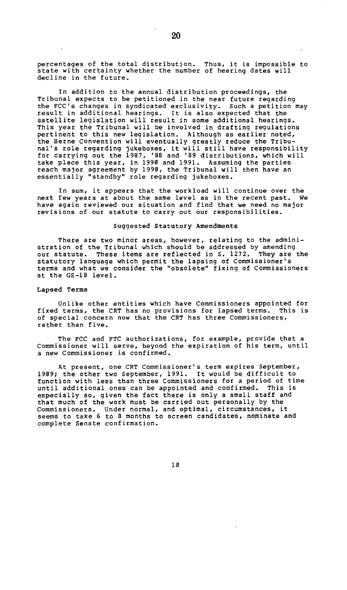percentages of the total distribution. Thus, it is impossible to state with certainty whether the number of hearing dates will decline in the future.

In addition to the annual distribution proceedings, the Tribunal expects to be petitioned in the near future regarding the FCC's changes in syndicated exclusivity. Such a petition may result in additional hearings. It is also expected that the satellite legislation will result in some additional hearings. This year the Tribunal will be involved in drafting regulations pertinent to this new legislation. Although as earlier noted, the Berne Convention will eventually greatly reduce the Tribu-nal's role regarding jukeboxes, it will still have responsibility for carrying out the 1987, '88 and '89 distributions, which will take place this year, in 1990 and 1991. Assuming the parties reach major agreement by 1990, the Tribunal will then have an essentially "standby" role regarding jukeboxes.

In sum, it appears that the workload will continue over the next few years at about the same level as in the recent past. We have again reviewed our situation and find that we need no major revisions of our statute to carry out our responsibilities.

#### **Suggested Statutory Amendments**

There are two minor areas, however, relating to the admini-stration of the Tribunal which should be addressed by amending our statute. These items are reflected in S. 1272. They are the statutory language which permit the lapsing of Commissioner's terms and what we consider the "obsolete" fixing of Commissioners at the GS-18 level.

#### **Lapsed Terms**

Unlike other entities which have Commissioners appointed for fixed terms, the CRT has no provisions for lapsed terms. This is of special concern now that the CRT has three Commissioners, rather than five.

The FCC and FTC authorizations, for example, provide that a Commissioner will serve, beyond the expiration of his term, until a new Commissioner is confirmed..

At present, one CRT Commissioner's term expires September, 1989; the other two September, 1991. It would be difficult to function with less than three Commissioners for a period of time until additional ones can be appointed and confirmed. This is especially so, given the fact there is only a small staff and that much of the work must be carried out personally by the Commissioners. Under normal, and optimal, circumstances, it seems to take 6 to 8 months to screen candidates, nominate and complete Senate confirmation.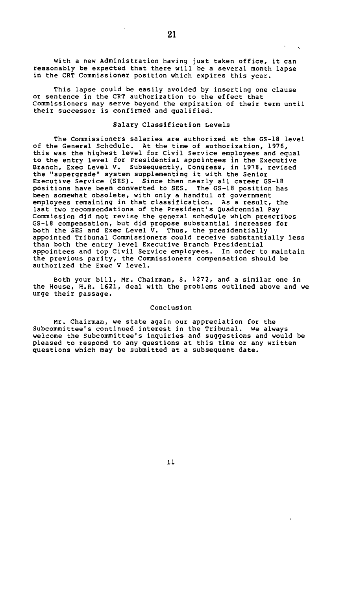with a new Administration having just taken office, it can reasonably be expected that there will be a several month lapse in the CRT Commissioner position which expires this year.

This lapse could be easily avoided by inserting one clause or sentence in the CRT authorization to the effect that Commissioners may serve beyond the expiration of their term until their successor is confirmed and qualified.

#### Salary Classification Levels

The Commissioners salaries are authorized at the GS-18 level of the General Schedule. At the time of authorization, 1976, this was the highest level for Civil Service employees and equal to the entry level for Presidential appointees in the Executive Branch, Exec Level V. Subsequently, Congress, in 1978, revised the "supergrade" system supplementing it with the Senior Executive Service (SES). Since then nearly all career GS-18 positions have been converted to SES. The GS-18 position has been somewhat obsolete, with only a handful of government employees remaining in that classification. As a result, the last two recommendations of the President's Quadrennial Pay Commission did not revise the general schedule which prescribes GS-18 compensation, but did propose substantial increases for both the SES and Exec Level V. Thus, the presidentially appointed Tribunal Commissioners could receive substantially less than both the entry level Executive Branch Presidential appointees and top Civil Service employees. In order to maintain the previous parity, the Commissioners compensation should be authorized the Exec V level.

Both your bill, Mr. Chairman, S. 1272, and a similar one in the House, H.R. 1621, deal with the problems outlined above and we urge their passage.

#### Conclusion

Mr. Chairman, we state again our appreciation for the Subcommittee's continued interest in the Tribunal. We always welcome the Subcommittee's inquiries and suggestions and would be pleased to respond to any questions at this time or any written questions which may be submitted at a subsequent date.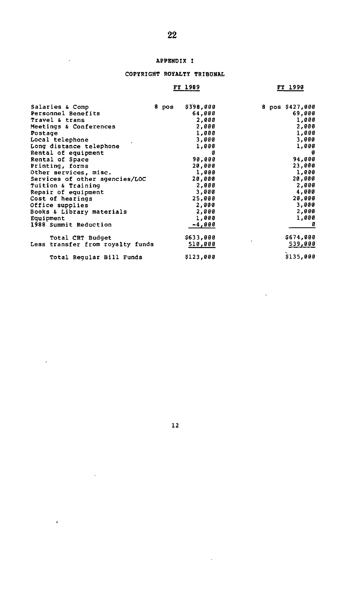## **APPENDIX I**

 $\overline{\phantom{a}}$ 

 $\bar{\mathcal{A}}$ 

 $\epsilon$ 

 $\ddot{\phantom{a}}$ 

## **COPYRIGHT ROYALTY TRIBUNAL**

## **FY 1989**

## **FY 1990**

 $\ddot{\phantom{a}}$ 

| Salaries & Comp                  | 8 pos | \$398,000 |  | 8 pos \$427,000 |
|----------------------------------|-------|-----------|--|-----------------|
| Personnel Benefits               |       | 64,000    |  | 69.000          |
| Travel & trans                   |       | 2,000     |  | 1,000           |
| Meetings & Conferences           |       | 2,000     |  | 2,000           |
| Postage                          |       | 1,000     |  | 1,000           |
| Local telephone                  |       | 3,000     |  | 3,000           |
| Long distance telephone          |       | 1,000     |  | 1,000           |
| Rental of equipment              |       | ø         |  | ø               |
| Rental of Space                  |       | 90,000    |  | 94,000          |
| Printing, forms                  |       | 20.000    |  | 23,000          |
| Other services, misc.            |       | 1,000     |  | 1,000           |
| Services of other agencies/LOC   |       | 20,000    |  | 20,000          |
| Tuition & Training               |       | 2,000     |  | 2,000           |
| Repair of equipment              |       | 3,000     |  | 4,000           |
| Cost of hearings                 |       | 25,000    |  | 20,000          |
| Office supplies                  |       | 2,000     |  | 3,000           |
| Books & Library materials        |       | 2,000     |  | 2,000           |
| Equipment                        |       | 1,000     |  | 1,000           |
| 1988 Summit Reduction            |       | $-4,000$  |  |                 |
| Total CRT Budget                 |       | \$633,000 |  | \$674,000       |
| Less transfer from royalty funds |       | 510,000   |  | 539,000         |
| Total Regular Bill Funds         |       | \$123,000 |  | \$135,000       |

12

 $\bar{z}$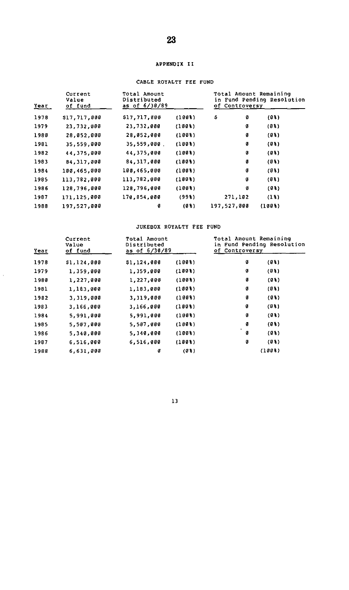## **APPENDIX II**

## CABLE ROYALTY FEE FUND

| Current<br>Value<br>of fund<br>Year |              | Total Amount<br>Distributed<br>as of 6/30/89 |                       | Total Amount Remaining<br>in Fund Pending Resolution<br>of Controversy |        |  |
|-------------------------------------|--------------|----------------------------------------------|-----------------------|------------------------------------------------------------------------|--------|--|
| 1978                                | \$17,717,000 | \$17,717,000                                 | (1008)                | Ş<br>ø                                                                 | (93)   |  |
| 1979                                | 23,732,000   | 23,732,000                                   | (1001)                | Ø                                                                      | (93)   |  |
| 1980                                | 28, 052, 000 | 28,052,000                                   | (1003)                | Ø                                                                      | (93)   |  |
| 1981                                | 35,559,000   | 35,559,000.                                  | $(100$ <sup>8</sup> ) | Ø                                                                      | (93)   |  |
| 1982                                | 44,375,000   | 44,375,000                                   | (1008)                | ø                                                                      | (93)   |  |
| 1983                                | 84.317.000   | 84, 317, 000                                 | (1008)                | ø                                                                      | (03)   |  |
| 1984                                | 100.465.000  | 100,465,000                                  | (1003)                | Ø                                                                      | (01)   |  |
| 1985                                | 113,782,000  | 113,782,000                                  | (1008)                | Ø                                                                      | (03)   |  |
| 1986                                | 128,796,000  | 128,796,000                                  | (1003)                | Ø                                                                      | (03)   |  |
| 1987                                | 171.125,000  | 170,854,000                                  | (998)                 | 271,102                                                                | (13)   |  |
| 1988                                | 197,527,000  | ø                                            | (03)                  | 197,527,000                                                            | (1008) |  |

#### JUKEBOX ROYALTY FEE FUND

| Year | Total Amount<br>Current<br>Distributed<br>Value<br>as of 6/30/89<br>of fund |             | of Controversy |   | Total Amount Remaining<br>in Fund Pending Resolution |  |
|------|-----------------------------------------------------------------------------|-------------|----------------|---|------------------------------------------------------|--|
| 1978 | \$1,124,000                                                                 | \$1,124,000 | (1003)         | ø | (93)                                                 |  |
| 1979 | 1,359,000                                                                   | 1,359,000   | (1008)         | ø | (93)                                                 |  |
| 1980 | 1,227,000                                                                   | 1,227,000   | (1003)         | ø | (03)                                                 |  |
| 1981 | 1,183,000                                                                   | 1,183,000   | (1003)         | ø | (93)                                                 |  |
| 1982 | 3,319,000                                                                   | 3,319,000   | (1003)         | ø | (93)                                                 |  |
| 1983 | 3,166,000                                                                   | 3,166,000   | (1008)         | ø | (03)                                                 |  |
| 1984 | 5,991,000                                                                   | 5,991,000   | (1008)         | ø | (03)                                                 |  |
| 1985 | 5,507,000                                                                   | 5,507,000   | (1008)         | ø | (03)                                                 |  |
| 1986 | 5,340,000                                                                   | 5,340,000   | (1008)         | ø | (03)                                                 |  |
| 1987 | 6,516,000                                                                   | 6,516,000   | (1008)         | ø | (93)                                                 |  |
| 1988 | 6,631,000                                                                   | ø           | (03)           |   | (1008)                                               |  |

 $\hat{\boldsymbol{\beta}}$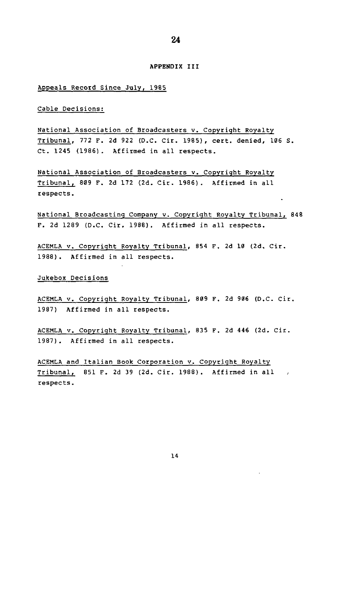#### **APPENDIX III**

#### Appeals Record Since July, 1985

#### Cable Decisions:

National Association of Broadcasters v. Copyright Royalty Tribunal, 772 F. 2d 922 (D.C. Cir. 1985), cert, denied, 106 S. Ct. 1245 (1986). Affirmed in all respects.

National Association of Broadcasters v. Copyright Royalty Tribunal, 809 F. 2d 172 (2d. Cir. 1986). Affirmed in all respects.

National Broadcasting Company v. Copyright Royalty Tribunal, 848 F. 2d 1289 (D.C. Cir. 1988). Affirmed in all respects.

ACEMLA v. Copyright Royalty Tribunal, 854 F. 2d 10 (2d. Cir. 1988). Affirmed in all respects.

Jukebox Decisions

ACEMLA v. Copyright Royalty Tribunal, 809 F. 2d 906 (D.C. Cir. 1987) Affirmed in all respects.

ACEMLA v. Copyright Royalty Tribunal, 835 F. 2d 446 (2d. Cir. 1987). Affirmed in all respects.

ACEMLA and Italian Book Corporation v. Copyright Royalty Tribunal, 851 F. 2d 39 (2d. Cir. 1988). Affirmed in all respects.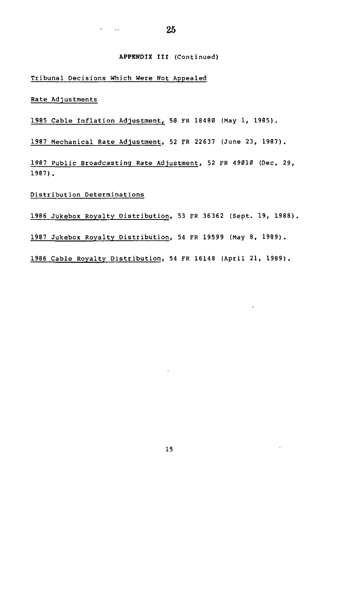### **APPENDIX III** (Continued)

Tribunal Decisions Which Were Not Appealed

 $\frac{1}{2}$  and  $\frac{1}{2}$  and  $\frac{1}{2}$  and  $\frac{1}{2}$  and  $\frac{1}{2}$ 

Rate Adjustments

1985 Cable Inflation Adjustment, 50 FR 18480 (May 1, 1985).

1987 Mechanical Rate Adjustment, 52 FR 22637 (June 23, 1987).

1987 Public Broadcasting Rate Adjustment, 52 FR 49010 (Dec. 29, 1987) .

Distribution Determinations

1986 Jukebox Royalty Distribution, 53 FR 36362 (Sept. 19, 1988).

1987 Jukebox Royalty Distribution, 54 FR 19599 (May 8, 1989).

1986 Cable Royalty Distribution, 54 FR 16148 (April 21, 1989).

÷.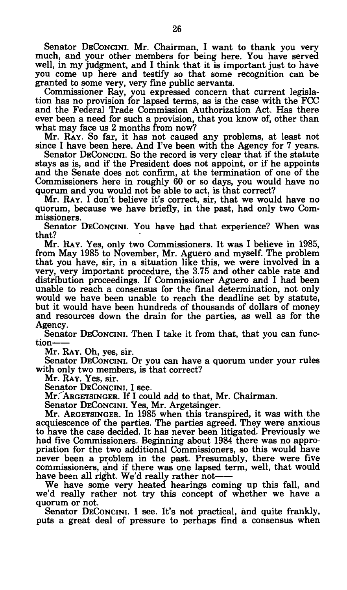Senator DECONCINI. Mr. Chairman, I want to thank you very much, and your other members for being here. You have served well, in my judgment, and I think that it is important just to have you come up here and testify so that some recognition can be granted to some very, very fine public servants.

Commissioner Ray, you expressed concern that current legislation has no provision for lapsed terms, as is the case with the FCC and the Federal Trade Commission Authorization Act. Has there ever been a need for such a provision, that you know of, other than what may face us 2 months from now?

Mr. RAY. So far, it has not caused any problems, at least not since I have been here. And I've been with the Agency for 7 years.

Senator DECONCINI. So the record is very clear that if the statute stays as is, and if the President does not appoint, or if he appoints and the Senate does not confirm, at the termination of one of the Commissioners here in roughly 60 or so days, you would have no quorum and you would not be able to act, is that correct?

Mr. RAY. I don't believe it's correct, sir, that we would have no quorum, because we have briefly, in the past, had only two Commissioners.

Senator DECONCINI. YOU have had that experience? When was that?

Mr. RAY. Yes, only two Commissioners. It was I believe in 1985, from May 1985 to November, Mr. Aguero and myself. The problem that you have, sir, in a situation like this, we were involved in a very, very important procedure, the 3.75 and other cable rate and distribution proceedings. If Commissioner Aguero and I had been unable to reach a consensus for the final determination, not only would we have been unable to reach the deadline set by statute, but it would have been hundreds of thousands of dollars of money and resources down the drain for the parties, as well as for the Agency.

Senator DECONCINI. Then I take it from that, that you can function

Mr. RAY. Oh, yes, sir.

Senator DECONCINI. Or you can have a quorum under your rules with only two members, is that correct?

Mr. RAY. Yes, sir.

Senator DECONCINI. I see.

Mr. ARGETSINGER. If I could add to that, Mr. Chairman.

Senator DECONCINI. Yes, Mr. Argetsinger.

Mr. ARGETSINGER. In 1985 when this transpired, it was with the acquiescence of the parties. The parties agreed. They were anxious to have the case decided. It has never been litigated. Previously we had five Commissioners. Beginning about 1984 there was no appropriation for the two additional Commissioners, so this would have never been a problem in the past. Presumably, there were five commissioners, and if there was one lapsed term, well, that would have been all right. We'd really rather not

We have some very heated hearings coming up this fall, and we'd really rather not try this concept of whether we have a quorum or not.

Senator DECONCINI. I see. It's not practical, and quite frankly, puts a great deal of pressure to perhaps find a consensus when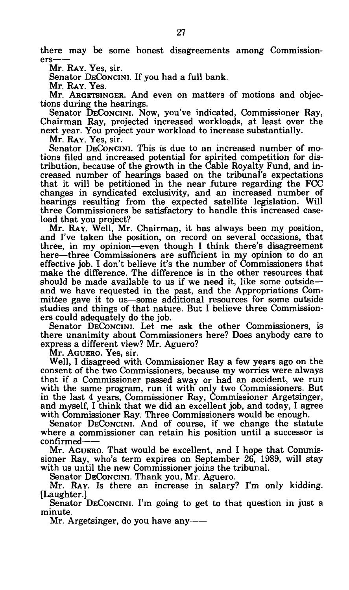there may be some honest disagreements among Commissioners

Mr. RAY. Yes, sir.

Senator DECONCINI. If you had a full bank.

Mr. RAY. Yes.

Mr. ARGETSINGER. And even on matters of motions and objections during the hearings.

Senator DECONCINI. Now, you've indicated, Commissioner Ray, Chairman Ray, projected increased workloads, at least over the next year. You project your workload to increase substantially.

Mr. RAY. Yes, sir.

Senator DECONCINI. This is due to an increased number of motions filed and increased potential for spirited competition for distribution, because of the growth in the Cable Royalty Fund, and increased number of hearings based on the tribunal's expectations that it will be petitioned in the near future regarding the FCC changes in syndicated exclusivity, and an increased number of hearings resulting from the expected satellite legislation. Will three Commissioners be satisfactory to handle this increased caseload that you project?

Mr. RAY. Well, Mr. Chairman, it has always been my position, and I've taken the position, on record on several occasions, that three, in my opinion—even though I think there's disagreement here—three Commissioners are sufficient in my opinion to do an effective job. I don't believe it's the number of Commissioners that make the difference. The difference is in the other resources that should be made available to us if we need it, like some outside and we have requested in the past, and the Appropriations Committee gave it to us—some additional resources for some outside studies and things of that nature. But I believe three Commissioners could adequately do the job.

Senator DECONCINI. Let me ask the other Commissioners, is there unanimity about Commissioners here? Does anybody care to express a different view? Mr. Aguero?

Mr. AGUERO. Yes, sir.

Well, I disagreed with Commissioner Ray a few years ago on the consent of the two Commissioners, because my worries were always that if a Commissioner passed away or had an accident, we run with the same program, run it with only two Commissioners. But in the last 4 years, Commissioner Ray, Commissioner Argetsinger, and myself, I think that we did an excellent job, and today, I agree with Commissioner Ray. Three Commissioners would be enough.

Senator DECONCINI. And of course, if we change the statute where a commissioner can retain his position until a successor is confirmed

Mr. AGUERO. That would be excellent, and I hope that Commissioner Ray, who's term expires on September 26, 1989, will stay with us until the new Commissioner joins the tribunal.

Senator DECONCINI. Thank you, Mr. Aguero.

Mr. RAY. IS there an increase in salary? I'm only kidding. [Laughter.]

Senator DECONCINI. I'm going to get to that question in just a minute.

Mr. Argetsinger, do you have any--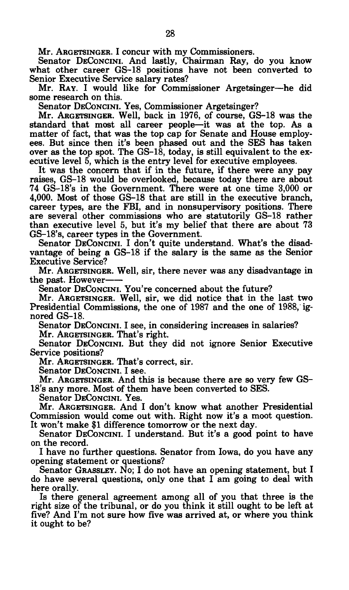Mr. ARGETSINGER. I concur with my Commissioners.

Senator DECONCINI. And lastly, Chairman Ray, do you know what other career GS-18 positions have not been converted to Senior Executive Service salary rates?

Mr. RAY. I would like for Commissioner Argetsinger—he did some research on this.

Senator DECONCINI. Yes, Commissioner Argetsinger?

Mr. ARGETSINGER. Well, back in 1976, of course, GS-18 was the standard that most all career people—it was at the top. As a matter of fact, that was the top cap for Senate and House employees. But since then it's been phased out and the SES has taken over as the top spot. The  $GS-18$ , today, is still equivalent to the executive level 5, which is the entry level for executive employees.

It was the concern that if in the future, if there were any pay raises, GS-18 would be overlooked, because today there are about 74 GS-18's in the Government. There were at one time 3,000 or 4,000. Most of those GS-18 that are still in the executive branch, career types, are the FBI, and in nonsupervisory positions. There are several other commissions who are statutorily GS-18 rather than executive level 5, but it's my belief that there are about 73 GS-18's, career types in the Government.

Senator DECONCINI. I don't quite understand. What's the disadvantage of being a GS-18 if the salary is the same as the Senior Executive Service?

Mr. ARGETSINGER. Well, sir, there never was any disadvantage in the past. However

Senator DECONCINI. You're concerned about the future?

Mr. ARGETSINGER. Well, sir, we did notice that in the last two Presidential Commissions, the one of 1987 and the one of 1988, ignored GS-18.

Senator DECONCINI. I see, in considering increases in salaries?

Mr. ARGETSINGER. That's right.

Senator DECONCINI. But they did not ignore Senior Executive Service positions?

Mr. ARGETSINGER. That's correct, sir.

Senator DECONCINI. I see.

Mr. ARGETSINGER. And this is because there are so very few GS-18's any more. Most of them have been converted to SES.

Senator DECONCINI. Yes.

Mr. ARGETSINGER. And I don't know what another Presidential Commission would come out with. Right now it's a moot question. It won't make \$1 difference tomorrow or the next day.

Senator DECONCINI. I understand. But it's a good point to have on the record.

I have no further questions. Senator from Iowa, do you have any opening statement or questions?

Senator GRASSLEY. NO; I do not have an opening statement, but I do have several questions, only one that I am going to deal with here orally.

Is there general agreement among all of you that three is the right size of the tribunal, or do you think it still ought to be left at five? And I'm not sure how five was arrived at, or where you think it ought to be?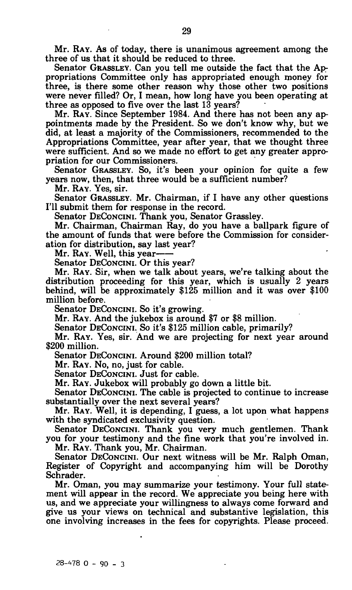Mr. RAY. AS of today, there is unanimous agreement among the three of us that it should be reduced to three.

Senator GRASSLEY. Can you tell me outside the fact that the Appropriations Committee only has appropriated enough money for three, is there some other reason why those other two positions were never filled? Or, I mean, how long have you been operating at three as opposed to five over the last 13 years?

Mr. RAY. Since September 1984. And there has not been any appointments made by the President. So we don't know why, but we did, at least a majority of the Commissioners, recommended to the Appropriations Committee, year after year, that we thought three were sufficient. And so we made no effort to get any greater appropriation for our Commissioners.

Senator GRASSLEY. So, it's been your opinion for quite a few years now, then, that three would be a sufficient number?

Mr. RAY. Yes, sir.

Senator GRASSLEY. Mr. Chairman, if I have any other questions I'll submit them for response in the record.

Senator DECONCINI. Thank you, Senator Grassley.

Mr. Chairman, Chairman Ray, do you have a ballpark figure of the amount of funds that were before the Commission for consideration for distribution, say last year?

Mr. RAY. Well, this year

Senator DECONCINI. Or this year?

Mr. RAY. Sir, when we talk about years, we're talking about the distribution proceeding for this year, which is usually 2 years behind, will be approximately \$125 million and it was over \$100 million before.

Senator DECONCINI. So it's growing.

Mr. RAY. And the jukebox is around \$7 or \$8 million.

Senator DECONCINI. So it's \$125 million cable, primarily?

Mr. RAY. Yes, sir. And we are projecting for next year around \$200 million.

Senator DECONCINI. Around \$200 million total?

Mr. RAY. NO, no, just for cable.

Senator DECONCINI. Just for cable.

Mr. RAY. Jukebox will probably go down a little bit.

Senator DECONCINI. The cable is projected to continue to increase substantially over the next several years?

Mr. RAY. Well, it is depending, I guess, a lot upon what happens with the syndicated exclusivity question.

Senator DECONCINI. Thank you very much gentlemen. Thank you for your testimony and the fine work that you're involved in.

Mr. RAY. Thank you, Mr. Chairman.

Senator DECONCINI. Our next witness will be Mr. Ralph Oman, Register of Copyright and accompanying him will be Dorothy Schrader.

Mr. Oman, you may summarize your testimony. Your full statement will appear in the record. We appreciate you being here with us, and we appreciate your willingness to always come forward and give us your views on technical and substantive legislation, this one involving increases in the fees for copyrights. Please proceed.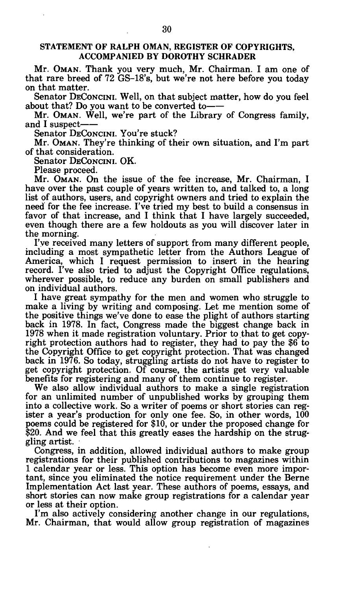## STATEMENT OF RALPH OMAN, REGISTER OF COPYRIGHTS, ACCOMPANIED BY DOROTHY SCHRADER

Mr. OMAN. Thank you very much, Mr. Chairman. I am one of that rare breed of 72 GS-18's, but we're not here before you today on that matter.

Senator DECONCINI. Well, on that subject matter, how do you feel about that? Do you want to be converted to

Mr. OMAN. Well, we're part of the Library of Congress family, and I suspect

Senator DECONCINI. You're stuck?

Mr. OMAN. They're thinking of their own situation, and I'm part of that consideration.

Senator DECONCINI. OK.

Please proceed.

Mr. OMAN. On the issue of the fee increase, Mr. Chairman, I have over the past couple of years written to, and talked to, a long list of authors, users, and copyright owners and tried to explain the need for the fee increase. I've tried my best to build a consensus in favor of that increase, and I think that I have largely succeeded, even though there are a few holdouts as you will discover later in the morning.

I've received many letters of support from many different people, including a most sympathetic letter from the Authors League of America, which I request permission to insert in the hearing record. I've also tried to adjust the Copyright Office regulations, wherever possible, to reduce any burden on small publishers and on individual authors.

I have great sympathy for the men and women who struggle to make a living by writing and composing. Let me mention some of the positive things we've done to ease the plight of authors starting back in 1978. In fact, Congress made the biggest change back in 1978 when it made registration voluntary. Prior to that to get copyright protection authors had to register, they had to pay the \$6 to the Copyright Office to get copyright protection. That was changed back in 1976. So today, struggling artists do not have to register to get copyright protection. Of course, the artists get very valuable benefits for registering and many of them continue to register.

We also allow individual authors to make a single registration for an unlimited number of unpublished works by grouping them into a collective work. So a writer of poems or short stories can register a year's production for only one fee. So, in other words,  $100$ poems could be registered for \$10, or under the proposed change for \$20. And we feel that this greatly eases the hardship on the struggling artist.

Congress, in addition, allowed individual authors to make group registrations for their published contributions to magazines within 1 calendar year or less. This option has become even more important, since you eliminated the notice requirement under the Berne Implementation Act last year. These authors of poems, essays, and short stories can now make group registrations for a calendar year or less at their option.

I'm also actively considering another change in our regulations, Mr. Chairman, that would allow group registration of magazines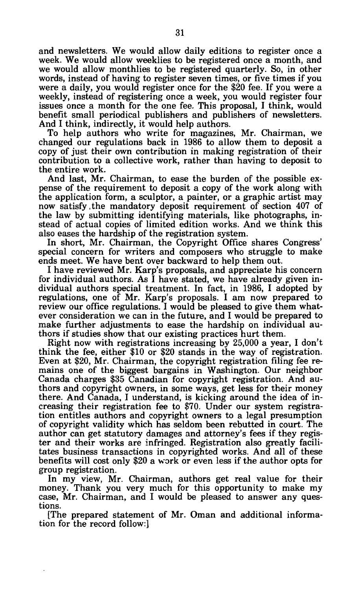and newsletters. We would allow daily editions to register once a week. We would allow weeklies to be registered once a month, and we would allow monthlies to be registered quarterly. So, in other words, instead of having to register seven times, or five times if you were a daily, you would register once for the \$20 fee. If you were a weekly, instead of registering once a week, you would register four issues once a month for the one fee. This proposal, I think, would benefit small periodical publishers and publishers of newsletters. And I think, indirectly, it would help authors.

To help authors who write for magazines, Mr. Chairman, we changed our regulations back in 1986 to allow them to deposit a copy of just their own contribution in making registration of their contribution to a collective work, rather than having to deposit to the entire work.

And last, Mr. Chairman, to ease the burden of the possible expense of the requirement to deposit a copy of the work along with the application form, a sculptor, a painter, or a graphic artist may now satisfy .the mandatory deposit requirement of section 407 of the law by submitting identifying materials, like photographs, instead of actual copies of limited edition works. And we think this also eases the hardship of the registration system.

In short, Mr. Chairman, the Copyright Office shares Congress' special concern for writers and composers who struggle to make ends meet. We have bent over backward to help them out.

I have reviewed Mr. Karp's proposals, and appreciate his concern for individual authors. As I have stated, we have already given individual authors special treatment. In fact, in 1986, I adopted by regulations, one of Mr. Karp's proposals. I am now prepared to review our office regulations. I would be pleased to give them whatever consideration we can in the future, and I would be prepared to make further adjustments to ease the hardship on individual authors if studies show that our existing practices hurt them.

Right now with registrations increasing by 25,000 a year, I don't think the fee, either \$10 or \$20 stands in the way of registration. Even at \$20, Mr. Chairman, the copyright registration filing fee remains one of the biggest bargains in Washington. Our neighbor Canada charges \$35 Canadian for copyright registration. And authors and copyright owners, in some ways, get less for their money there. And Canada, I understand, is kicking around the idea of increasing their registration fee to \$70. Under our system registration entitles authors and copyright owners to a legal presumption of copyright validity which has seldom been rebutted in court. The author can get statutory damages and attorney's fees if they register and their works are infringed. Registration also greatly facilitates business transactions in copyrighted works. And all of these benefits will cost only \$20 a work or even less if the author opts for group registration.

In my view, Mr. Chairman, authors get real value for their money. Thank you very much for this opportunity to make my case, Mr. Chairman, and I would be pleased to answer any questions.

[The prepared statement of Mr. Oman and additional information for the record follow:]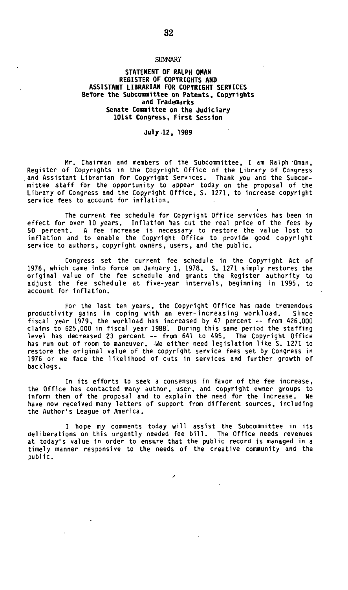#### **SUMMARY**

#### **STATEMENT OF RALPH OMAN REGISTER OF COPYRIGHTS AND ASSISTANT LIBRARIAN FOR COPYRIGHT SERVICES Before the Subcommittee on Patents, Copyrights and Trademarks Senate Coonittee on the Judiciary 101st Congress, First Session**

#### **July 12, 1989**

Mr. Chairman and members of the Subcommittee, I am Ralph Oman, Register of Copyrights in the Copyright Office of the Library of Congress and Assistant Librarian for Copyright Services. Thank you and the Subcommittee staff for the opportunity to appear today on the proposal of the Library of Congress and the Copyright Office, S. 1271, to increase copyright service fees to account for inflation.

The current fee schedule for Copyright Office services has been in effect for over 10 years. Inflation has cut the real price of the fees by 50 percent. A fee increase is necessary to restore the value lost to inflation and to enable the Copyright Office to provide good copyright service to authors, copyright owners, users, and the public.

Congress set the current fee schedule in the Copyright Act of 1976, which came into force on January 1, 1978. S. 1271 simply restores the original value of the fee schedule and grants the Register authority to adjust the fee schedule at five-year intervals, beginning in 1995, to account for inflation.

For the last ten years, the Copyright Office has made tremendous productivity gains in coping with an ever-increasing workload. Since fiscal year 1979, the workload has increased by 47 percent -- from 425,000 claims to 625,000 in fiscal year 1988. During this same period the staffing level has decreased 23 percent -- from 641 to 495. The Copyright Office has run out of room to maneuver. -We either need legislation like S. 1271 to restore the original value of the copyright service fees set by Congress in 1976 or we face the likelihood of cuts in services and further growth of backlogs.

In its efforts to seek a consensus in favor of the fee increase, the Office has contacted many author, user, and copyright owner groups to inform them of the proposal and to explain the need for the increase. We have now received many letters of support from different sources, including the Author's League of America.

I hope my comments today will assist the Subcommittee in its deliberations on this urgently needed fee bill. The Office needs revenues at today's value in order to ensure that the public record is managed in a timely manner responsive to the needs of the creative community and the public.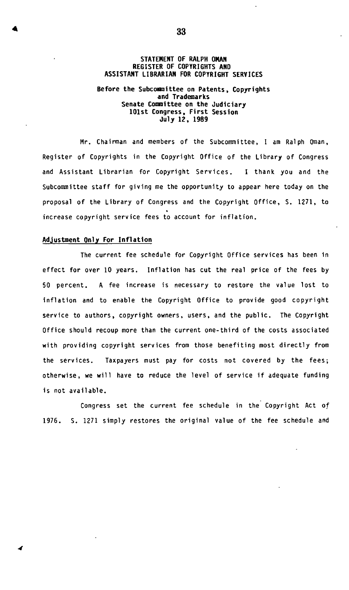#### **STATEMENT OF RALPH OMAN REGISTER OF COPYRIGHTS AND ASSISTANT LIBRARIAN FOR COPYRIGHT SERVICES**

#### **Before the Subcomrittee on Patents, Copyrights and Trademarks Senate Committee on the Judiciary 101st Congress, First Session July 12, 1989**

Mr. Chairman and members of the Subcommittee, I am Ralph Oman, Register of Copyrights in the Copyright Office of the Library of Congress and Assistant Librarian for Copyright Services. I thank you and the Subcommittee staff for giving me the opportunity to appear here today on the proposal of the Library of Congress and the Copyright Office, S. 1271, to increase copyright service fees to account for inflation.

#### **Adjustment Only For Inflation**

The current fee schedule for Copyright Office services has been in effect for over 10 years. Inflation has cut the real price of the fees by 50 percent. A fee increase is necessary to restore the value lost to inflation and to enable the Copyright Office to provide good copyright service to authors, copyright owners, users, and the public. The Copyright Office should recoup more than the current one-third of the costs associated with providing copyright services from those benefiting most directly from the services. Taxpayers must pay for costs not covered by the fees; otherwise, we will have to reduce the level of service if adequate funding is not available.

Congress set the current fee schedule in the Copyright Act of 1976. S. 1271 simply restores the original value of the fee schedule and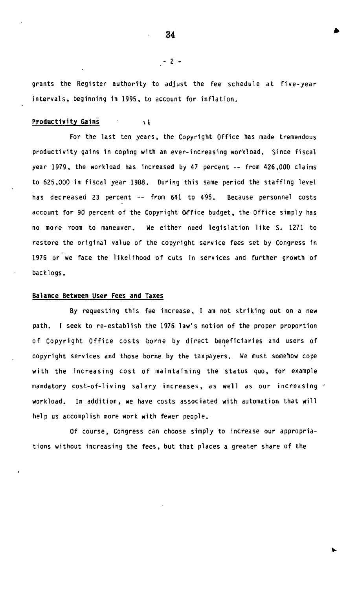grants the Register authority to adjust the fee schedule at five-year intervals, beginning in 1995, to account for inflation.

## Productivity Gains (1)

For the last ten years, the Copyright Office has made tremendous productivity gains in coping with an ever-increasing workload. Since fiscal year 1979, the workload has increased by 47 percent -- from 426,000 claims to 625,000 in fiscal year 1988. During this same period the staffing level has decreased 23 percent -- from 641 to 495. Because personnel costs account for 90 percent of the Copyright Office budget, the Office simply has no more room to maneuver. We either need legislation like S. 1271 to restore the original value of the copyright service fees set by Congress in 1976 or we face the likelihood of cuts in services and further growth of backlogs.

#### **Balance Between User Fees and Taxes**

By requesting this fee increase, I am not striking out on a new path. I seek to re-establish the 1976 law's notion of the proper proportion of Copyright Office costs borne by direct beneficiaries and users of copyright services and those borne by the taxpayers. We must somehow cope with the increasing cost of maintaining the status quo, for example mandatory cost-of-living salary increases, as well as our increasing ' workload. In addition, we have costs associated with automation that will help us accomplish more work with fewer people.

Of course, Congress can choose simply to increase our appropriations without increasing the fees, but that places a greater share of the

**34 »** 

- 2 -

v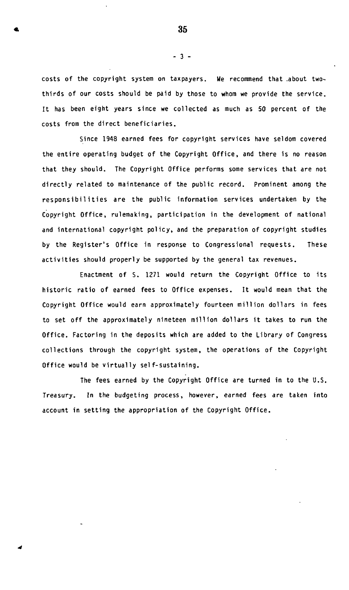**costs of the copyright system on taxpayers. We recommend that .about twothirds of our costs should be paid by those to whom we provide the service. It has been eight years since we collected as much as 50 percent of the costs from the direct beneficiaries.** 

**Since 1948 earned fees for copyright services have seldom covered the entire operating budget of the Copyright Office, and there is no reason that they should. The Copyright Office performs some services that are not directly related to maintenance of the public record. Prominent among the responsibilities are the public information services undertaken by the Copyright Office, rulemaking, participation in the development of national and international copyright policy, and the preparation of copyright studies by the Register's Office in response to Congressional requests. These activities should properly be supported by the general tax revenues.** 

**Enactment of S. 1271 would return the Copyright Office to its historic ratio of earned fees to Office expenses. It would mean that the Copyright Office would earn approximately fourteen million dollars in fees to set off the approximately nineteen million dollars it takes to run the Office. Factoring in the deposits which are added to the Library of Congress collections through the copyright system, the operations of the Copyright Office would be virtually self-sustaining.** 

**The fees earned by the Copyright Office are turned in to the U.S. Treasury. In the budgeting process, however, earned fees are taken into account in setting the appropriation of the Copyright Office.** 

**- 3 -**

 $\bullet$  35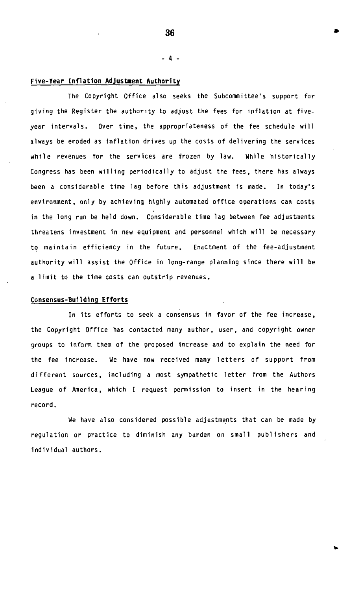**- 4 -**

#### **Five-Year Inflation Adjustaent Authority**

The Copyright Office also seeks the Subcommittee's support for giving the Register the authority to adjust the fees for inflation at fiveyear intervals. Over time, the appropriateness of the fee schedule will always be eroded as inflation drives up the costs of delivering the services while revenues for the services are frozen by law. While historically Congress has been willing periodically to adjust the fees, there has always been a considerable time lag before this adjustment is made. In today's environment, only by achieving highly automated office operations can costs in the long run be held down. Considerable time lag between fee adjustments threatens investment in new equipment and personnel which will be necessary to maintain efficiency in the future. Enactment of the fee-adjustment authority will assist the Office in long-range planning since there will be a limit to the time costs can outstrip revenues.

#### **Consensus-Building Efforts**

In its efforts to seek a consensus in favor of the fee increase, the Copyright Office has contacted many author, user, and copyright owner groups to inform them of the proposed increase and to explain the need for the fee increase. We have now received many letters of support from different sources, including a most sympathetic letter from the Authors League of America, which I request permission to insert in the hearing record.

We have also considered possible adjustments that can be made by regulation or practice to diminish any burden on small publishers and individual authors.

**36 »** 

v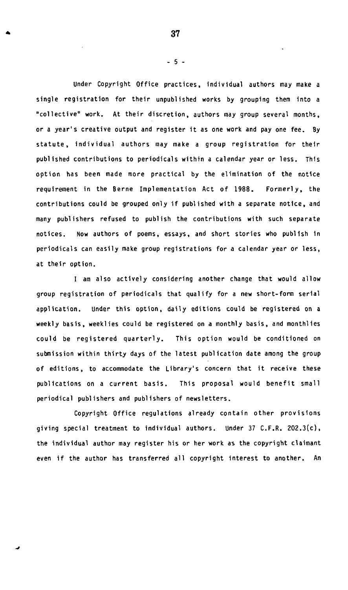**Under Copyright Office practices, individual authors may make a single registration for their unpublished works by grouping them into a "collective" work. At their discretion, authors may group several months, or a year's creative output and register it as one work and pay one fee. By statute, individual authors may make a group registration for their published contributions to periodicals within a calendar year or less. This option has been made more practical by the elimination of the notice requirement in the Berne Implementation Act of 1988. Formerly, the contributions could be grouped only if published with a separate notice, and many publishers refused to publish the contributions with such separate notices. Now authors of poems, essays, and short stories who publish 1n periodicals can easily make group registrations for a calendar year or less, at their option.** 

**I am also actively considering another change that would allow group registration of periodicals that qualify for a new short-form serial application. Under this option, daily editions could be registered on a weekly basis, weeklies could be registered on a monthly basis, and monthlies could be registered quarterly. This option would be conditioned on submission within thirty days of the latest publication date among the group of editions, to accommodate the Library's concern that it receive these publications on a current basis. This proposal would benefit small periodical publishers and publishers of newsletters.** 

**Copyright Office regulations already contain other provisions giving special treatment to individual authors. Under 37 C.F.R. 202.3(c), the individual author may register his or her work as the copyright claimant even if the author has transferred all copyright interest to another. An** 

**- 5 -**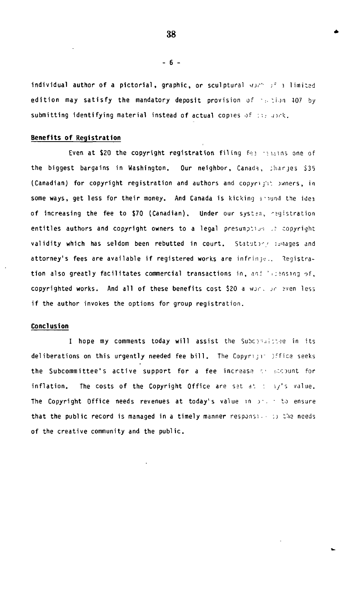individual author of a pictorial, graphic, or sculptural worth of a limited edition may satisfy the mandatory deposit provision of  $\gamma_0$ ,  $\gamma_0$  and  $\gamma_0$  by submitting identifying material instead of actual copies of : .: anck.

#### **Benefits of Registration**

Even at \$20 the copyright registration filing fee remains one of the biggest bargains in Washington. Our neighbor, Canada, sharjes \$35 (Canadian) for copyright registration and authors and copyright buners, in some ways, get less for their money. And Canada is kicking around the idea of increasing the fee to \$70 (Canadian). Under our syst^a, 'jgistration entitles authors and copyright owners to a legal presumption of copyright validity which has seldom been rebutted in court. Statuting images and attorney's fees are available if registered works are infrinje.. Registration also greatly facilitates commercial transactions in, and 'scensing of, copyrighted works. And all of these benefits cost \$20 a war, ar aven less if the author invokes the options for group registration.

### **Conclusion**

I hope my comments today will assist the Subcommaistee in its deliberations on this urgently needed fee bill. The Copyright office seeks the Subcommittee's active support for a fee increase the ecount for inflation. The costs of the Copyright Office are set at  $I = \frac{1}{3}I^2$ s value. The Copyright Office needs revenues at today's value in journed to ensure that the public record is managed in a timely manner responsion is the needs of the creative community and the public.

**38** 

 $-6 -$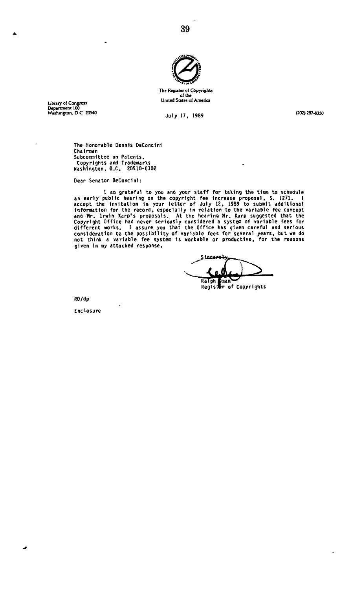

**The Register of Copyrights Uruted States of America** 

**, . , -. " United States of America Library of Congress Department 100** 

**Washington. D C 20540 Jul y 17 1989 (202)287^350** 

 $\overline{a}$ 

**The Honorable Dennis DeConclnl Chairman Subcommittee on Patents, Copyrights and Trademarks Washington, O.C. 20510-0302** 

Dear Senator DeConcini:

I am grateful to you and your staff for taking the time to schedule<br>an early public hearing on the copyright fee increase proposal, S. 1271. I<br>accept the invitation in your letter of July 12, 1989 to submit additional<br>info **given in my attached response.** 

بيةممه علاكر **Reglsar of Copyrights** 

 $\ddot{\phantom{0}}$ 

**RO/dp** 

J.

**Enclosure**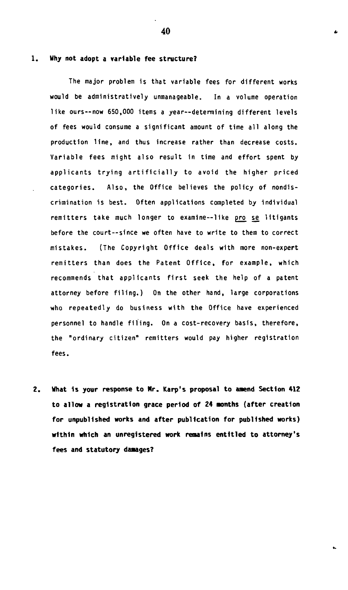#### $1.$

## **Why not adopt a variable fee structure?**

The major problem is that variable fees for different works would be administratively unmanageable. In a volume operation like ours -- now 650,000 items a year--determining different levels of fees would consume a significant amount of time all along the production line, and thus increase rather than decrease costs. Variable fees might also result in time and effort spent by applicants trying artificially to avoid the higher priced categories. Also, the Office believes the policy of nondiscrimination is best. Often applications completed by individual remitters take much longer to examine--like pro se litigants before the court—since we often have to write to them to correct mistakes. (The Copyright Office deals with more non-expert remitters than does the Patent Office, for example, which recommends that applicants first seek the help of a patent attorney before filing.) On the other hand, large corporations who repeatedly do business with the Office have experienced personnel to handle filing. On a cost-recovery basis, therefore, the "ordinary citizen" remitters would pay higher registration fees.

 $2.$ **What Is your response to Nr. Karp's proposal to anend Section 412 to allow a registration grace period of 24 months (after creation for unpublished works and after publication for published works) within which an unregistered work remains entitled to attorney's fees and statutory damages?** 

**40 «**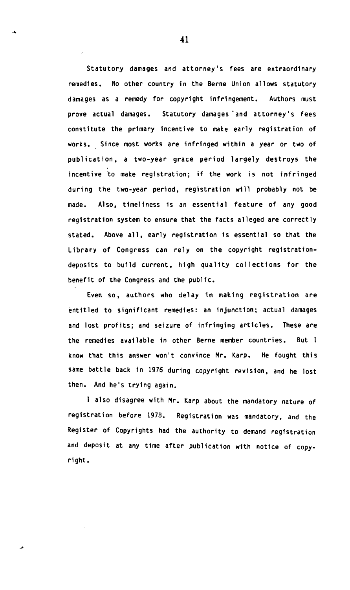**Statutory damages and attorney's fees are extraordinary remedies. No other country in the Berne Union allows statutory damages as a remedy for copyright infringement. Authors must prove actual damages. Statutory damages'and attorney's fees constitute the primary incentive to make early registration of works. Since most works are infringed within a year or two of publication, a two-year grace period largely destroys the incentive to make registration; if the work is not infringed during the two-year period, registration will probably not be made. Also, timeliness is an essential feature of any good registration system to ensure that the facts alleged are correctly stated. Above all, early registration is essential so that the Library of Congress can rely on the copyright registrationdeposits to build current, high quality collections for the benefit of the Congress and the public.** 

**Even so, authors who delay in making registration are entitled to significant remedies: an injunction; actual damages and lost profits; and seizure of infringing articles. These are the remedies available in other Berne member countries. But I know that this answer won't convince Mr. Karp. He fought this same battle back in 1976 during copyright revision, and he lost then. And he's trying again.** 

**I also disagree with Mr. Karp about the mandatory nature of registration before 1978. Registration was mandatory, and the Register of Copyrights had the authority to demand registration and deposit at any time after publication with notice of copyright.**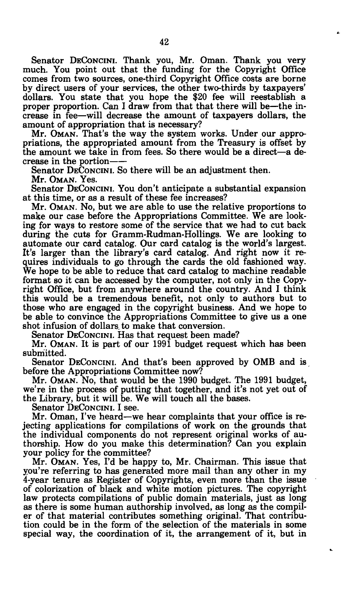Senator DECONCINI. Thank you, Mr. Oman. Thank you very much. You point out that the funding for the Copyright Office comes from two sources, one-third Copyright Office costs are borne by direct users of your services, the other two-thirds by taxpayers' dollars. You state that you hope the \$20 fee will reestablish a proper proportion. Can I draw from that that there will be—the increase in fee—will decrease the amount of taxpayers dollars, the amount of appropriation that is necessary?

Mr. OMAN. That's the way the system works. Under our appropriations, the appropriated amount from the Treasury is offset by the amount we take in from fees. So there would be a direct—a decrease in the portion

Senator DECONCINI. So there will be an adjustment then. Mr. OMAN. Yes.

Senator DECONCINI. You don't anticipate a substantial expansion at this time, or as a result of these fee increases?

Mr. OMAN. No, but we are able to use the relative proportions to make our case before the Appropriations Committee. We are looking for ways to restore some of the service that we had to cut back during the cuts for Gramm-Rudman-Hollings. We are looking to automate our card catalog. Our card catalog is the world's largest. It's larger than the library's card catalog. And right now it requires individuals to go through the cards the old fashioned way. We hope to be able to reduce that card catalog to machine readable format so it can be accessed by the computer, not only in the Copyright Office, but from anywhere around the country. And I think this would be a tremendous benefit, not only to authors but to those who are engaged in the copyright business. And we hope to be able to convince the Appropriations Committee to give us a one shot infusion of dollars to make that conversion.

Senator DECONCINI. Has that request been made?

Mr. OMAN. It is part of our 1991 budget request which has been submitted.

Senator DECONCINI. And that's been approved by OMB and is before the Appropriations Committee now?

Mr. OMAN. NO, that would be the 1990 budget. The 1991 budget, we're in the process of putting that together, and it's not yet out of the Library, but it will be. We will touch all the bases.

Senator DECONCINI. I see.

Mr. Oman, I've heard—we hear complaints that your office is rejecting applications for compilations of work on the grounds that the individual components do not represent original works of authorship. How do you make this determination? Can you explain your policy for the committee?

Mr. OMAN. Yes, I'd be happy to, Mr. Chairman. This issue that you're referring to has generated more mail than any other in my 4-year tenure as Register of Copyrights, even more than the issue of colorization of black and white motion pictures. The copyright law protects compilations of public domain materials, just as long as there is some human authorship involved, as long as the compiler of that material contributes something original. That contribution could be in the form of the selection of the materials in some special way, the coordination of it, the arrangement of it, but in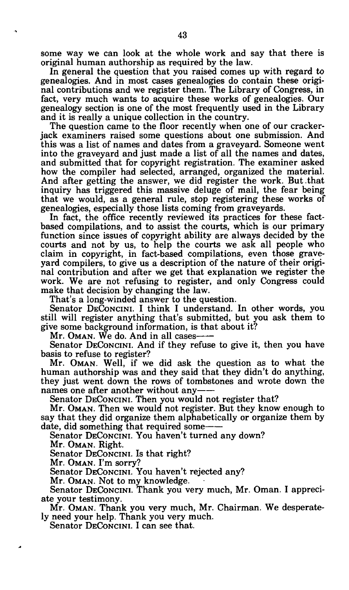some way we can look at the whole work and say that there is original human authorship as required by the law.

In general the question that you raised comes up with regard to genealogies. And in most cases genealogies do contain these original contributions and we register them. The Library of Congress, in fact, very much wants to acquire these works of genealogies. Our genealogy section is one of the most frequently used in the Library and it is really a unique collection in the country.

The question came to the floor recently when one of our crackerjack examiners raised some questions about one submission. And this was a list of names and dates from a graveyard. Someone went into the graveyard and just made a list of all the names and dates, and submitted that for copyright registration. The examiner asked how the compiler had selected, arranged, organized the material. And after getting the answer, we did register the work. But-that inquiry has triggered this massive deluge of mail, the fear being that we would, as a general rule, stop registering these works of genealogies, especially those lists coming from graveyards.

In fact, the office recently reviewed its practices for these factbased compilations, and to assist the courts, which is our primary function since issues of copyright ability are always decided by the courts and not by us, to help the courts we ask all people who claim in copyright, in fact-based compilations, even those graveyard compilers, to give us a description of the nature of their original contribution and after we get that explanation we register the work. We are not refusing to register, and only Congress could make that decision by changing the law.

That's a long-winded answer to the question.

Senator DECONCINI. I think I understand. In other words, you still will register anything that's submitted, but you ask them to give some background information, is that about it?

Mr. OMAN. We do. And in all cases

Senator DECONCINI. And if they refuse to give it, then you have basis to refuse to register?

Mr. OMAN. Well, if we did ask the question as to what the human authorship was and they said that they didn't do anything, they just went down the rows of tombstones and wrote down the names one after another without any

Senator DECONCINI. Then you would not register that?

Mr. OMAN. Then we would not register. But they know enough to say that they did organize them alphabetically or organize them by date, did something that required some

Senator DECONCINI. You haven't turned any down?

Mr. OMAN. Right.

Senator DECONCINI. Is that right?

Mr. OMAN. I'm sorry?

Senator DECONCINI. You haven't rejected any?

Mr. OMAN. Not to my knowledge.

Senator DECONCINI. Thank you very much, Mr. Oman. I appreciate your testimony.

Mr. OMAN. Thank you very much, Mr. Chairman. We desperately need your help. Thank you very much.

Senator DECONCINI. I can see that.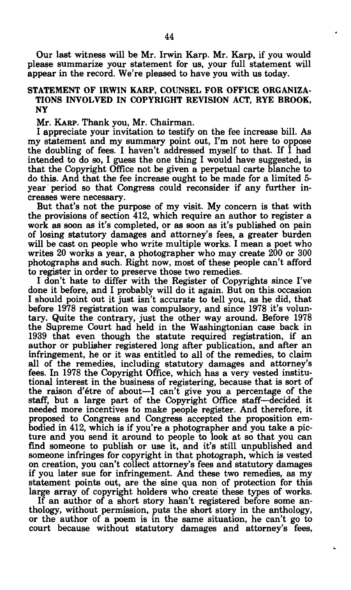Our last witness will be Mr. Irwin Karp. Mr. Karp, if you would please summarize your statement for us, your full statement will appear in the record. We're pleased to have you with us today.

## STATEMENT OF IRWIN KARP, COUNSEL FOR OFFICE ORGANIZA-TIONS INVOLVED IN COPYRIGHT REVISION ACT, RYE BROOK, NY

Mr. KARP. Thank you, Mr. Chairman.

I appreciate your invitation to testify on the fee increase bill. As my statement and my summary point out, I'm not here to oppose the doubling of fees. I haven't addressed myself to that. If I had intended to do so, I guess the one thing I would have suggested, is that the Copyright Office not be given a perpetual carte blanche to do this. And that the fee increase ought to be made for a limited 5 year period so that Congress could reconsider if any further increases were necessary.

But that's not the purpose of my visit. My concern is that with the provisions of section 412, which require an author to register a work as soon as it's completed, or as soon as it's published on pain of losing statutory damages and attorney's fees, a greater burden will be cast on people who write multiple works. I mean a poet who writes 20 works a year, a photographer who may create 200 or 300 photographs and such. Right now, most of these people can't afford to register in order to preserve those two remedies.

I don't hate to differ with the Register of Copyrights since I've done it before, and I probably will do it again. But on this, occasion I should point out it just isn't accurate to tell you, as he did, that before 1978 registration was compulsory, and since 1978 it's voluntary. Quite the contrary, just the other way around. Before 1978 the Supreme Court had held in the Washingtonian case back in 1939 that even though the statute required registration, if an author or publisher registered long after publication, and after an infringement, he or it was entitled to all of the remedies, to claim all of the remedies, including statutory damages and attorney's fees. In 1978 the Copyright Office, which has a very vested institutional interest in the business of registering, because that is sort of the raison d'étre of about—I can't give you a percentage of the staff, but a large part of the Copyright Office staff—decided it needed more incentives to make people register. And therefore, it proposed to Congress and Congress accepted the proposition embodied in 412, which is if you're a photographer and you take a picture and you send it around to people to look at so that you can find someone to publish or use it, and it's still unpublished and someone infringes for copyright in that photograph, which is vested on creation, you can't collect attorney's fees and statutory damages if you later sue for infringement. And these two remedies, as my statement points out, are the sine qua non of protection for this large array of copyright holders who create these types of works.

If an author of a short story hasn't registered before some anthology, without permission, puts the short story in the anthology, or the author of a poem is in the same situation, he can't go to court because without statutory damages and attorney's fees,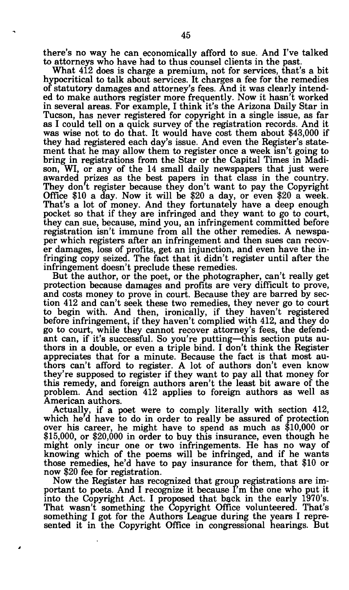there's no way he can economically afford to sue. And I've talked to attorneys who have had to thus counsel clients in the past.

What 412 does is charge a premium, not for services, that's a bit hypocritical to talk about services. It charges a fee for the remedies of statutory damages and attorney's fees. And it was clearly intended to make authors register more frequently. Now it hasn't worked in several areas. For example, I think it's the Arizona Daily Star in Tucson, has never registered for copyright in a single issue, as far as I could tell on a quick survey of the registration records. And it was wise not to do that. It would have cost them about \$43,000 if they had registered each day's issue. And even the Register's statement that he may allow them to register once a week isn't going to bring in registrations from the Star or the Capital Times in Madison, WI, or any of the 14 small daily newspapers that just were awarded prizes as the best papers in that class in the country. They don't register because they don't want to pay the Copyright Office \$10 a day. Now it will be \$20 a day, or even \$20 a week. That's a lot of money. And they fortunately have a deep enough pocket so that if they are infringed and they want to go to court, they can sue, because, mind you, an infringement committed before registration isn't immune from all the other remedies. A newspaper which registers after an infringement and then sues can recover damages, loss of profits, get an injunction, and even have the infringing copy seized. The fact that it didn't register until after the infringement doesn't preclude these remedies.

But the author, or the poet, or the photographer, can't really get protection because damages and profits are very difficult to prove, and costs money to prove in court. Because they are barred by section 412 and can't seek these two remedies, they never go to court to begin with. And then, ironically, if they haven't registered before infringement, if they haven't complied with 412, and they do go to court, while they cannot recover attorney's fees, the defendant can, if it's successful. So you're putting—this section puts authors in a double, or even a triple bind. I don't think the Register appreciates that for a minute. Because the fact is that most authors can't afford to register. A lot of authors don't even know they're supposed to register if they want to pay all that money for this remedy, and foreign authors aren't the least bit aware of the problem. And section 412 applies to foreign authors as well as American authors.

Actually, if a poet were to comply literally with section 412, which he'd have to do in order to really be assured of protection over his career, he might have to spend as much as \$10,000 or \$15,000, or \$20,000 in order to buy this insurance, even though he might only incur one or two infringements. He has no way of knowing which of the poems will be infringed, and if he wants those remedies, he'd have to pay insurance for them, that \$10 or now \$20 fee for registration.

Now the Register has recognized that group registrations are important to poets. And I recognize it because  $\tilde{\Gamma}$ m the one who put it into the Copyright Act. I proposed that back in the early 1970's. That wasn't something the Copyright Office volunteered. That's something I got for the Authors League during the years I represented it in the Copyright Office in congressional hearings. But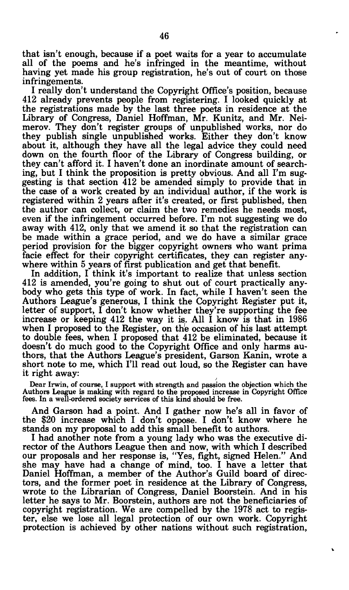that isn't enough, because if a poet waits for a year to accumulate all of the poems and he's infringed in the meantime, without having yet made his group registration, he's out of court on those infringements.

I really don't understand the Copyright Office's position, because 412 already prevents people from registering. I looked quickly at the registrations made by the last three poets in residence at the Library of Congress, Daniel Hoffman, Mr. Kunitz, and Mr. Neimerov. They don't register groups of unpublished works, nor do they publish single unpublished works. Either they don't know about it, although they have all the legal advice they could need down on the fourth floor of the Library of Congress building, or they can't afford it. I haven't done an inordinate amount of searching, but I think the proposition is pretty obvious. And all I'm suggesting is that section 412 be amended simply to provide that in the case of a work created by an individual author, if the work is registered within 2 years after it's created, or first published, then the author can collect, or claim the two remedies he needs most, even if the infringement occurred before. I'm not suggesting we do away with 412, only that we amend it so that the registration can be made within a grace period, and we do have a similar grace period provision for the bigger copyright owners who want prima facie effect for their copyright certificates, they can register anywhere within 5 years of first publication and get that benefit.

In addition, I think it's important to realize that unless section 412 is amended, you're going to shut out of court practically anybody who gets this type of work. In fact, while I haven't seen the Authors League's generous, I think the Copyright Register put it, letter of support, I don't know whether they're supporting the fee increase or keeping 412 the way it is. All I know is that in 1986 when I proposed to the Register, on the occasion of his last attempt to double fees, when I proposed that 412 be eliminated, because it doesn't do much good to the Copyright Office and only harms authors, that the Authors League's president, Garson Kanin, wrote a short note to me, which I'll read out loud, so the Register can have it right away:

Dear Irwin, of course, I support with strength and passion the objection which the Authors League is making with regard to the proposed increase in Copyright Office fees. In a well-ordered society services of this kind should be free.

And Garson had a point. And I gather now he's all in favor of the \$20 increase which I don't oppose. I don't know where he stands on my proposal to add this small benefit to authors.

I had another note from a young lady who was the executive director of the Authors League then and now, with which I described our proposals and her response is, "Yes, fight, signed Helen." And she may have had a change of mind, too. I have a letter that Daniel Hoffman, a member of the Author's Guild board of directors, and the former poet in residence at the Library of Congress, wrote to the Librarian of Congress, Daniel Boorstein. And in his letter he says to Mr. Boorstein, authors are not the beneficiaries of copyright registration. We are compelled by the 1978 act to register, else we lose all legal protection of our own work. Copyright protection is achieved by other nations without such registration,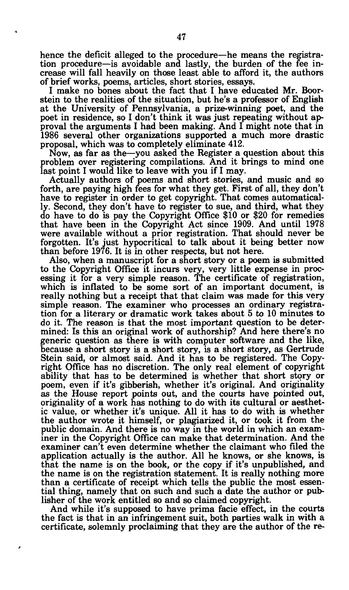hence the deficit alleged to the procedure—he means the registration procedure—is avoidable and lastly, the burden of the fee increase will fall heavily on those least able to afford it, the authors of brief works, poems, articles, short stories, essays.

I make no bones about the fact that I have educated Mr. Boorstein to the realities of the situation, but he's a professor of English at the University of Pennsylvania, a prize-winning poet, and the poet in residence, so I don't think it was just repeating without approval the arguments I had been making. And I might note that in 1986 several other organizations supported a much more drastic proposal, which was to completely eliminate 412.

Now, as far as the—you asked the Register a question about this problem over registering compilations. And it brings to mind one last point I would like to leave with you if I may.

Actually authors of poems and short stories, and music and so forth, are paying high fees for what they get. First of all, they don't have to register in order to get copyright. That comes automatically. Second, they don't have to register to sue, and third, what they do have to do is pay the Copyright Office \$10 or \$20 for remedies that have been in the Copyright Act since 1909. And until 1978 were available without a prior registration. That should never be forgotten. It's just hypocritical to talk about it being better now than before 1976. It is in other respects, but not here.

Also, when a manuscript for a short story or a poem is submitted to the Copyright Office it incurs very, very little expense in processing it for a very simple reason. The certificate of registration, which is inflated to be some sort of an important document, is really nothing but a receipt that that claim was made for this very simple reason. The examiner who processes an ordinary registration for a literary or dramatic work takes about 5 to 10 minutes to do it. The reason is that the most important question to be determined: Is this an original work of authorship? And here there's no generic question as there is with computer software and the like, because a short story is a short story, is a short story, as Gertrude Stein said, or almost said. And it has to be registered. The Copyright Office has no discretion. The only real element of copyright ability that has to be determined is whether that short story or poem, even if it's gibberish, whether it's original. And originality as the House report points out, and the courts have pointed out, originality of a work has nothing to do with its cultural or aesthetic value, or whether it's unique. All it has to do with is whether the author wrote it himself, or plagiarized it, or took it from the public domain. And there is no way in the world in which an examiner in the Copyright Office can make that determination. And the examiner can't even determine whether the claimant who filed the application actually is the author. All he knows, or she knows, is that the name is on the book, or the copy if it's unpublished, and the name is on the registration statement. It is really nothing more than a certificate of receipt which tells the public the most essential thing, namely that on such and such a date the author or publisher of the work entitled so and so claimed copyright.

And while it's supposed to have prima facie effect, in the courts the fact is that in an infringement suit, both parties walk in with a certificate, solemnly proclaiming that they are the author of the re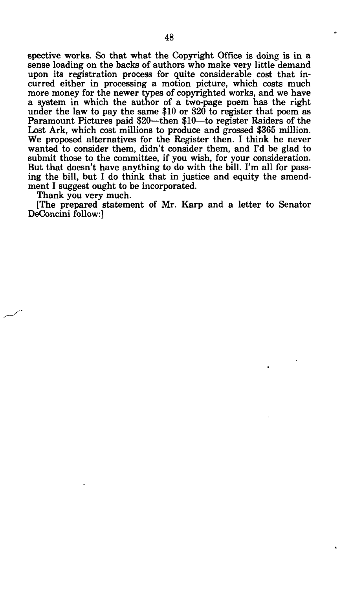spective works. So that what the Copyright Office is doing is in a sense loading on the backs of authors who make very little demand upon its registration process for quite considerable cost that incurred either in processing a motion picture, which costs much more money for the newer types of copyrighted works, and we have a system in which the author of a two-page poem has the right under the law to pay the same \$10 or \$20 to register that poem as Paramount Pictures paid \$20—then \$10—to register Raiders of the Lost Ark, which cost millions to produce and grossed \$365 million. We proposed alternatives for the Register then. I think he never wanted to consider them, didn't consider them, and I'd be glad to submit those to the committee, if you wish, for your consideration. But that doesn't have anything to do with the bill. I'm all for passing the bill, but I do think that in justice and equity the amendment I suggest ought to be incorporated.

Thank you very much.

(The prepared statement of Mr. Karp and a letter to Senator DeConcini follow:]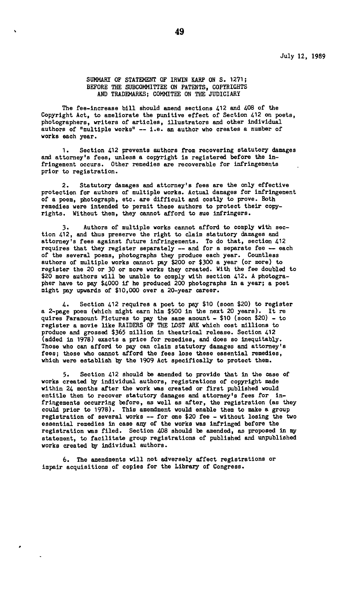**SUMMARY OF STATEMENT OF IRWIN KARP ON S. 1271; BEFORE THE SUBCOMMITTEE ON PATENTS, COPYRIGHTS AND TRADEMARKS; COMMITEE ON THE JUDICIARY** 

**The fee-increase bill should amend sections 412 and 408 of the Copyright Act, to ameliorate the punitive effect of Section 412 on poets, photographers, writers of articles, illustrators and other Individual authors of "multiple works" — i.e. an author who creates a number of works each year.** 

**1. Section 412 prevents authors from recovering statutory damages and attorney's fees, unless a copyright is registered before the infringement occurs. Other remedies are recoverable for Infringements prior to registration.** 

**2. Statutory damages and attorney's fees are the only effective protection for authors of multiple works. Actual damages for infringement of a poem, photograph, etc. are difficult and costly to prove. Both remedies were intended to permit these authors to protect their copyrights. Without them, they cannot afford to sue infringers.** 

**3. Authors of multiple works cannot afford to comply with section 412, and thus preserve the right to claim statutory damages and attorney's fees against future infringements. To do that, section 412 requires that they register separately — and for a separate fee — each of the several poems, photographs they produce each year. Countless authors of multiple works cannot pay \$200 or \$300 a year (or more) to register the 20 or 30 or more works they created. With the fee doubled to \$20 more authors will be unable to comply with section 412. A photogra-pher have to pay \$4000 if he produced 200 photographs in a year; a poet might pay upwards of \$10,000 over a 20-year career.** 

**4. Section 412 requires a poet to pay \$10 (soon \$20) to register a 2-page poem (which might earn him \$500 in the next 20 years). It re quires Paramount Pictures to pay the same amount - \$10 (soon \$20) - to register a movie like RAIDERS OF THE LOST ARK which cost millions to produce and grossed \$365 million in theatrical release. Section 412 (added in 1978) exacts a price for remedies, and does so inequitably. Those who can afford to pay can claim statutory damages and attorney's fees; those who cannot afford the fees lose these essential remedies, which were establish by the 1909 Act specifically to protect them.** 

**5. Section 412 should be amended to provide that in the case of works created by individual authors, registrations of copyright made within 24 months after the work was created or first published would entitle them to recover statutory damages and attorney's fees for infringements occurring before, as well as after, the registration (as they could prior to 1978). This amendment would enable them to make a group registration of several works — for one \$20 fee - without losing the two essential remedies in case any of the works was infringed before the registration was filed. Section 408 should be amended, as proposed in my statement, to facilitate group registrations of published and unpublished works created by individual authors.** 

**6. The amendments will not adversely affect registrations or impair acquisitions of copies for the Library of Congress.**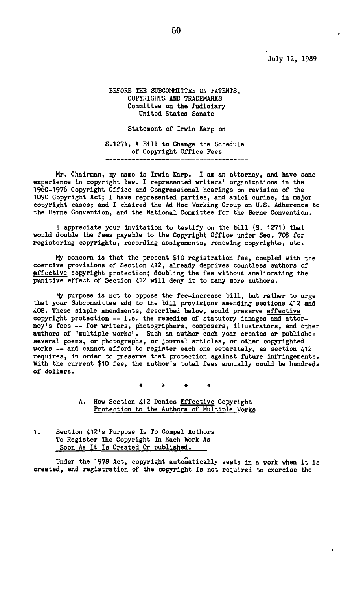**July 12, 1989** 

#### **BEFORE THE SUBCOMMITTEE ON PATENTS, COPYRIGHTS AND TRADEMARKS Committee on the Judiciary United States Senate**

**Statement of Irwin Karp on** 

**S.1271, A Bill to Change the Schedule of Copyright Office Fees** 

**Mr. Chairman, my name is Irwin Karp. I am an attorney, and have some experience in copyright law. I represented writers' organizations in the 1960-1976 Copyright Office and Congressional hearings on revision of the 1090 Copyright Act; I have represented parties, and amici curiae, in major copyright cases; and I chaired the Ad Hoc Working Group on U.S. Adherence to the Berne Convention, and the National Committee for the Berne Convention.** 

**I appreciate your invitation to testify on the bill (S. 1271) that would double the fees payable to the Copyright Office under Sec. 708 for registering copyrights, recording assignments, renewing copyrights, etc.** 

**My concern is that the present \$10 registration fee, coupled with the coercive provisions of Section 412, already deprives countless authors of effective copyright protection; doubling the fee without ameliorating the punitive effect of Section 412 will deny it to many more authors.** 

**My purpose is not to oppose the fee-increase bill, but rather to urge that your Subcommittee add to the bill provisions amending sections 412 and 408. These simple amendments, described below, would preserve effective copyright protection — i.e. the remedies of statutory damages and attorney's fees — for writers, photographers, composers, illustrators, and other authors of "multiple works". Such an author each year creates or publishes several poems, or photographs, or journal articles, or other copyrighted works — and cannot afford to register each one separately, as section 412 requires, in order to preserve that protection against future infringements. With the current \$10 fee, the author's total fees annually could be hundreds of dollars.** 

**« « • \*** 

**A. How Section 412 Denies Effective Copyright Protection to the Authors of Multiple Works** 

**1. Section 412's Purpose Is To Compel Authors To Register The Copyright In Each Work As Soon As It Is Created Or published.** 

**Under the 1978 Act, copyright automatically vests in a work when it is created, and registration of the copyright is not required to exercise the**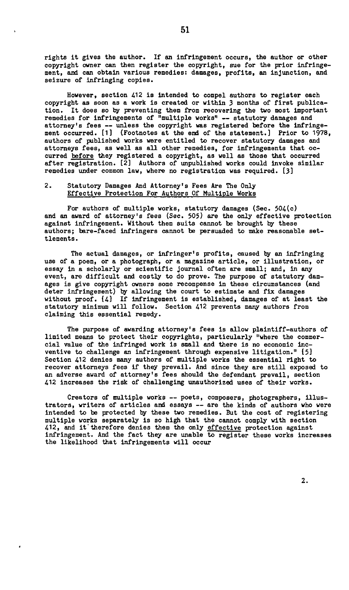**rights it gives the author. If an infringement occurs, the author or other copyright owner can then register the copyright, sue for the prior infringement, and can obtain various remedies: damages, profits, an injunction, and seizure of infringing copies.** 

**However, section 412 is intended to compel authors to register each copyright as soon as a work is created or within 3 months of first publication. It does so by preventing them from recovering the two most important remedies for infringements of "multiple works" — statutory damages and attorney's fees — unless the copyright was registered before the infringement occurred. [1] (Footnotes at the end of the statement.] Prior to 1978, authors of published works were entitled to recover statutory damages and attorneys fees, as well as all other remedies, for infringements that occurred before they registered a copyright, as well as those that occurred after registration. [2] Authors of unpublished works could invoke similar remedies under common law, where no registration was required. [3]** 

#### **2. Statutory Damages And Attorney's Fees Are The Only Effective Protection For Authors Of Multiple Works**

**For authors of multiple works, statutory damages (Sec. 504(c) and an award of attorney's fees (Sec. 505) are the only effective protection against infringement. Without them suits cannot be brought by these authors; bare-faced infringers cannot be persuaded to make reasonable settlements.** 

**The actual damages, or infringer's profits, caused by an infringing use of a poem, or a photograph, or a magazine article, or illustration, or essay in a scholarly or scientific journal often are small; and, in any event, are difficult and costly to do prove. The purpose of statutory damages is give copyright owners some recompense in these circumstances (and deter infringement) by allowing the court to estimate and fix damages without proof. (41 If infringement is established, damages of at least the statutory minimum will follow. Section 412 prevents many authors from claiming this essential remedy.** 

**The purpose of awarding attorney's fees is allow plaintiff-authors of limited means to protect their copyrights, particularly "where the commercial value of the infringed work is small and there is no economic incventive to challenge an infringement through expensive litigation." [5] Section 412 denies many authors of multiple works the essential right to recover attorneys fees if they prevail. And since they are still exposed to an adverse award of attorney's fees should the defendant prevail, section 412 increases the risk of challenging unauthorized uses of their works.** 

**Creators of multiple works — poets, composers, photographers, illustrators, writers of articles and essays — are the kinds of authors who were intended to be protected by these two remedies. But the cost of registering multiple works separately is so high that the cannot comply with section 412, and it'therefore denies them the only effective protection against infringement. And the fact they are unable to register these works increases the likelihood that infringements will occur**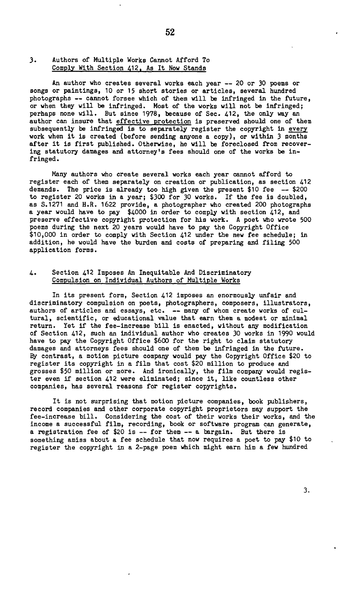#### 3. Authors of Multiple Works Cannot Afford To Comply With Section 412. As It How Stands

An author who creates several works each year — 20 or 30 poems or songs or paintings, 10 or 15 short stories or articles, several hundred photographs — cannot forsee which of them will be infringed in the future, or when they will be infringed. Most of the works will not be infringed; perhaps none will. But since 1978, because of Sec. 412, the only way an author can insure that <u>effective protection</u> is preserved should one of them subsequently be infringed is to separately register the copyright in every work when it is created (before sending anyone a copy), or within 3 months after it is first published. Otherwise, he will be foreclosed from recovering statutory damages and attorney's fees should one of the works be infringed .

Many authors who create several works each year cannot afford to register each of them separately on creation or publication, as section 412 demands. The price is already too high given the present \$10 fee — \$200 to register 20 works in a year; \$300 for 30 works. If the fee is doubled, as S.1271 and H.R. 1622 provide, a photographer who created 200 photographs a year would have to pay \$4000 in order to comply with section 412, and preserve effective copyright protection for his work. A poet who wrote 500 poems during the next 20 years would have to pay the Copyright Office \$10,000 in order to comply with Section 412 under the new fee schedule; in addition, he would have the burden and costs of preparing and filing 500 application forms.

#### 4. Section 412 Imposes An Inequitable And Discriminatory Compulsion on Individual Authors of Multiple Works

In its present form, Section 412 imposes an enormously unfair and discriminatory compulsion on poets, photographers, composers, illustrators, authors of articles and essays, etc. — many of whom create works of cultural, scientific, or educational value that earn them a modest or minimal return. Yet if the fee-increase bill is enacted, without any modification of Section 412, such an individual author who creates 30 works in 1990 would have to pay the Copyright Office \$600 for the right to claim statutory damages and attorneys fees should one of them be infringed in the future. By contrast, a motion picture company would pay the Copyright Office \$20 to register its copyright in a film that cost \$20 million to produce and grosses \$50 million or more. And ironically, the film company would register even if section 412 were eliminated; since it, like countless other companies, has several reasons for register copyrights.

It is not surprising that motion picture companies, book publishers, record companies and other corporate copyright proprietors may support the fee-increase bill. Considering the cost of their works their works, and the income a successful film, recording, book or software program can generate, a registration fee of \$20 is — for them — a bargain. But there is something amiss about a fee schedule that now requires a poet to pay \$10 to register the copyright in a 2-page poem which might earn him a few hundred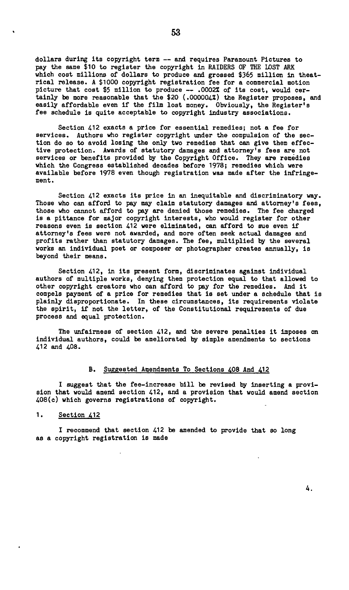**dollars during its copyright term — and requires Paramount Pictures to pay the same \$10 to register the copyright in RAIDERS OF THE LOST ARK**  which cost millions of dollars to produce and grossed \$365 million in theat**rical release. A \$1000 copyright registration fee for a commercial motion picture that cost \$5 million to produce — .00022 of its cost, would certainly be more reasonable that the \$20 (.000004?) the Register proposes, and easily affordable even if the film lost money. Obviously, the Register's fee schedule is quite acceptable to copyright industry associations.** 

**Section 412 exacts a price for essential remedies; not a fee for services. Authors who register copyright under the compulsion of the section do so to avoid losing the only two remedies that can give them effective protection. Awards of statutory damages and attorney's fees are not services or benefits provided by the Copyright Office. They are remedies which the Congress established decades before 1978; remedies which were available before 1978 even though registration was made after the infringement.** 

**Section 412 exacts its price in an inequitable and discriminatory way. Those who can afford to pay may claim statutory damages and attorney's fees, those who cannot afford to pay are denied those remedies. The fee charged is a pittance for major copyright interests, who would register for other reasons even is section 412 were eliminated, can afford to sue even if attorney's fees were not awarded, and more often seek actual damages and profits rather than statutory damages. The fee, multiplied by the several works an individual poet or composer or photographer creates annually, is beyond their means.** 

**Section 412, in its present form, discriminates against individual authors of multiple works, denying them protection equal to that allowed to other copyright creators who can afford to pay for the remedies. And it compels payment of a price for remedies that is set under a schedule that is plainly disproportionate. In these circumstances, its requirements violate the spirit, if not the letter, of the Constitutional requirements of due process and equal protection.** 

**The unfairness of section 412, and the severe penalties it imposes on individual authors, could be ameliorated by simple amendments to sections 412 and 408.** 

#### **B. Suggested Amendments To Sections 408 And 412**

**I suggest that the fee-increase bill be revised by inserting a provision that would amend section 412, and a provision that would amend section 408(c) which governs registrations of copyright.** 

**1. Section 412** 

**I recommend that section 412 be amended to provide that so long as a copyright registration is made**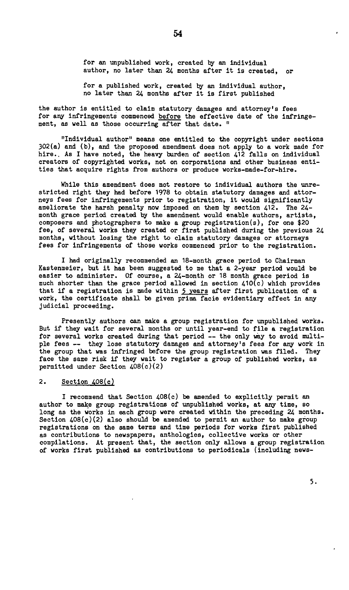for an unpublished work, created by an individual author, no later than 24 months after it is created, or

for a published work, created by an individual author, no later than 24 months after it is first published

the author is entitled to claim statutory damages and attorney's fees for any infringements commenced before the effective date of the infringement, as well as those occurring after that date. "

"Individual author" means one entitled to the copyright under sections 302(a) and (b), and the proposed amendment does not apply to a work made for hire.. As I have noted, the heavy burden of section 412 falls on individual creators of copyrighted works, not on corporations and other business entities that acquire rights from authors or produce works-made-for-hire.

While this amendment does not restore to individual authors the unrestricted right they had before 1978 to obtain statutory damages and attorneys fees for infringements prior to registration, it would significantly ameliorate the harsh penalty now imposed on them by section 412. The 24 month grace period created by the amendment would enable authors, artists, composers and photographers to make a group registration(s), for one \$20 fee, of several works they created or first published during the previous 24 months, without losing the right to claim statutory damages or attorneys fees for infringements of those works commenced prior to the registration.

I had originally recommended an 18-month grace period to Chairman Kastenmeier, but it has been suggested to me that a 2-year period would be easier to administer. Of course, a 24-month or 18 month grace period is much shorter than the grace period allowed in section 410(c) which provides that if a registration is made within 5 years after first publication of a work, the certificate shall be given prima facie evidentiary effect in any judicial proceeding.

Presently authors can make a group registration for unpublished works. But if they wait for several months or until year-end to file a registration for several works created during that period — the only way to avoid multiple fees — they lose statutory damages and attorney's fees for any work in the group that was infringed before the group registration was filed. They face the same risk if they wait to register a group of published works, as permitted under Section 408(c)(2)

#### 2. Section 408(c)

I recommend that Section 408(c) be amended to explicitly permit an author to make group registrations of unpublished works, at any time, so long as the works in each group were created within the preceding 24 months. Section 408(c)(2) also should be amended to permit an author to make group registrations on the same terms and time periods for works first published as contributions to newspapers, anthologies, collective works or other compilations. At present that, the section only allows a group registration of works first published as contributions to periodicals (including news-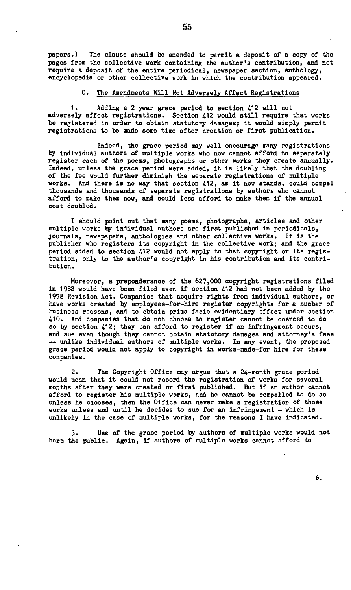**papers.) The clause should be amended to permit a deposit of a copy of the pages from the collective work containing the author's contribution, and not require a deposit of the entire periodical, newspaper section, anthology, encyclopedia or other collective work in which the contribution appeared.** 

#### **C. The Amendments Will Hot Adversely Affect Registrations**

**1. Adding a 2 year grace period to section 412 will not adversely affect registrations. Section 412 would still require that works be registered in order to obtain statutory damages; it would simply permit registrations to be made some time after creation or first publication.** 

**Indeed, the grace period may well encourage many registrations by individual authors of multiple works who now cannot afford to separately register each of the poems, photographs or other works they create annually. Indeed, unless the grace period were added, it is likely that the doubling of the fee would further diminish the separate registrations of multiple works. And there is no way that section 412, as it now stands, could compel thousands and thousands of separate registrations by authors who cannot afford to make them now, and could less afford to make them if the annual cost doubled.** 

**I should point out that many poems, photographs, articles and other multiple works by individual authors are first published in periodicals, journals, newspapers, anthologies and other collective works. It is the publisher who registers its copyright in the collective workj and the grace period added to section 412 would not apply to that copyright or its registration, only to the author's copyright in his contribution and its contribution.** 

**Moreover, a preponderance of the 627,000 copyright registrations filed in 1988 would have been filed even if section 412 had not been added by the 1978 Revision Act. Companies that acquire rights from individual authors, or have works created by employees-for-hire register copyrights for a number of business reasons, and to obtain prima facie evidentiary effect under section 410. And companies that do not choose to register cannot be coerced to do so by section 412; they can afford to register if an infringement occurs, and sue even though they cannot obtain statutory damages and attorney's fees — unlike individual authors of multiple works. In any event, the proposed grace period would not apply to copyright in works-made-for hire for these companies.** 

**2. The Copyright Office may argue that a 24-month grace period would mean that it could not record the registration of works for several months after they were created or first published. But if an author cannot afford to register his multiple works, and he cannot be compelled to do so unless he chooses, then the Office can never make a registration of those works unless and until he decides to sue for an infringement - which is unlikely in the case of multiple works, for the reasons I have indicated.** 

**3. Use of the grace period by authors of multiple works would not harm the public. Again, if authors of multiple works cannot afford to**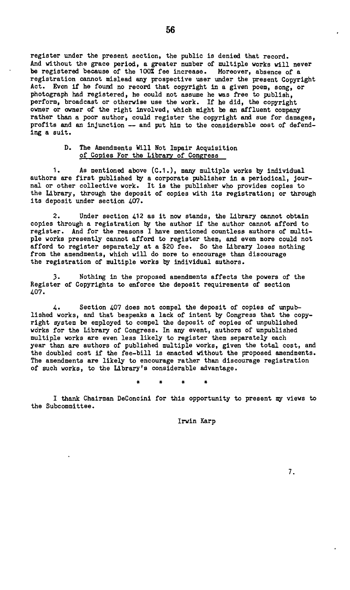**register under the present section, the public is denied that record. And without the grace period, a greater number of multiple works will never be registered because of the 100% fee increase. Moreover, absence of a registration cannot mislead any prospective user under the present Copyright Act. Even if he found no record that copyright in a given poem, song, or photograph had registered, he could not assume he was free to publish, perform, broadcast or otherwise use the work. If he did, the copyright owner or owner of the right involved, which might be an affluent company rather than a poor author, could register the copyright and sue for damages, profits and an injunction — and put him to the considerable cost of defending a suit.** 

#### **D. The Amendments Will Not Impair Acquisition of Copies For the Library of Congress**

**1. As mentioned above (C.1.), many multiple works by individual authors are first published by a corporate publisher in a periodical, journal or other collective work. It is the publisher who provides copies to the Library, through the deposit of copies with its registration; or through its deposit under section 407.** 

**2. Under section 412 as it now stands, the Library cannot obtain copies through a registration by the author if the author cannot afford to register. And for the reasons I have mentioned countless authors of multiple works presently cannot afford to register them, and even more could not afford to register separately at a \$20 fee. So the Library loses nothing from the amendments, which will do more to encourage than discourage the registration of multiple works by individual authors.** 

**3. Nothing in the proposed amendments affects the powers of the Register of Copyrights to enforce the deposit requirements of section 407.** 

**4. Section 407 does not compel the deposit of copies of unpublished works, and that bespeaks a lack of intent by Congress that the copyright system be employed to compel the deposit of copies of unpublished works for the Library of Congress. In any event, authors of unpublished multiple works are even less likely to register them separately each year than are authors of published multiple works, given the total cost, and the doubled cost if the fee-bill is enacted without the proposed amendments. The amendments are likely to encourage rather than discourage registration of such works, to the Library's considerable advantage.** 

# # \* \*

**I thank Chairman DeConcini for this opportunity to present my views to the Subcommittee.** 

**Irwin Karp**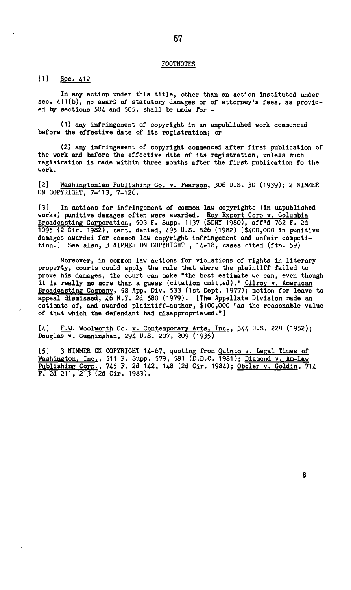#### FOOTNOTES

#### [1] Sec. 412

In any action under this title, other than an action instituted under sec. 411(b), no award of statutory damages or of attorney's fees, as provided by sections 504 and 505, shall be made for -

(1) any infringement of copyright in an unpublished work commenced before the effective date of its registration; or

(2) any infringement of copyright commenced after first publication of the work and before the effective date of its registration, unless such registration is made within three months after the first publication fo the work.

[2] Washingtonian Publishing Co. v. Pearson, 306 U.S. 30 (1939); 2 NIMMER OH COPYRIGHT, 7-113, 7-126.

[3] In actions for infringement of common law copyrights (in unpublished works) punitive damages often were awarded. <u>Roy Export Corp v. Columbia</u> Broadcasting Corporation, 503 F. Supp. 1137 (SDNY 1980), aff'd 762 F. 2d 1095 (2 Cir. 1982), cert, denied, 495 U.S. 826 (1982) (\$400,000 in punitive damages awarded for common law copyright infringement and unfair competition.] See also, 3 NIMMER ON COPYRIGHT, 14-18, cases cited (ftn. 59)

Moreover, in common law actions for violations of rights in literary property, courts could apply the rule that where the plaintiff failed to prove his damages, the court can make "the best estimate we can, even though it is really no more than a guess (citation omitted)." Gilroy v. American Broadcasting Company, 58 App. Div. 533 (1st Dept. 1977); motion for leave to appeal dismissed, 46 N.Y. 2d 580 (1979). [The Appellate Division made an estimate of, and awarded plaintiff-author, \$100,000 "as the reasonable value of that which the defendant had misappropriated."]

[4] F.W. Woolworth Co. v. Contemporary Arts, Inc., 344 U.S. 228 (1952); Douglas v. Cunningham, 294 U.S. 207, 209 (1935)

[5] 3 NIMMER ON COPYRIGHT 14-67, quoting from Quinto v. Legal Times of Washington, Inc<u>.</u>, 511 F. Supp. 579, 581 (D.D.C. 1981); <u>Diamond v. Am-Law</u> <u>Publishing Corp.</u>, 745 F. 2d 142, 148 (2d Cir. 1984); <u>Oboler v. Goldin</u>, 714 F. 2d 211, 213 (2d Cir. 1983).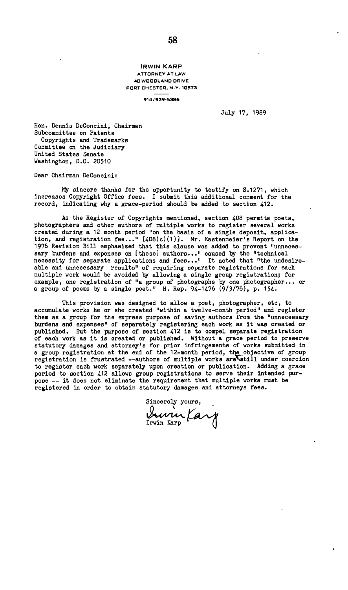**IRWIN KARP ATTORNEY AT LAW 4 0 WOODLAND DRIVE PORT CHESTER. N.Y. 10573** 

**914/939-538 6** 

July 17, 1989

Hon. Dennis DeConcini, Chairman Subcommittee on Patents Copyrights and Trademarks Committee on the Judiciary United States Senate Washington, D.C. 20510

Dear Chairman DeConcini:

My sincere thanks for the opportunity to testify on S.1271, which increases Copyright Office fees. I submit this additional comment for the record, indicating why a grace-period should be added to section 412.

As the Register of Copyrights mentioned, section 408 permits poets, photographers and other authors of multiple works to register several works created during a 12 month period "on the basis of a single deposit, application, and registration fee..." [408(c)(1)]. Mr. Kastenmeier's Report on the 1976 Revision Bill emphasized that this clause was added to prevent "unnecessary burdens and expenses on [these] authors..." caused by the "technical necessity for separate applications and fees..." It noted that "the undesireable and unnecessary results" of requiring separate registrations for each multiple work would be avoided by allowing a single group registration; for example, one registration of "a group of photographs by one photographer... or a group of poems by a single poet." H. Rep. 94-1476 (9/3/76), p. 154.

This provision was designed to allow a poet, photographer, etc, to accumulate works he or she created "within a twelve-month period" and register them as a group for the express purpose of saving authors from the "unnecessary burdens and expenses" of separately registering each work as it was created or published. But the purpose of section 412 is to compel separate registration of each work as it is created or published. Without a grace period to preserve statutory damages and attorney's for prior infringements of works submitted in a group registration at the end of the 12-month period, the objective of group<br>registration is frustrated --authors of multiple works are still under coercion to register each work separately upon creation or publication. Adding a grace period to section 412 allows group registrations to serve their intended purpose — it does not eliminate the requirement that multiple works must be registered in order to obtain statutory damages and attorneys fees.

Sincerely yours, Irwin Karp **frs^**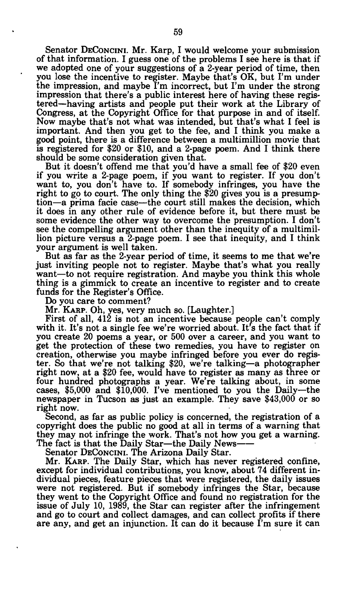Senator DECONCINI. Mr. Karp, I would welcome your submission of that information. I guess one of the problems I see here is that if we adopted one of your suggestions of a 2-year period of time, then you lose the incentive to register. Maybe that's OK, but I'm under the impression, and maybe I'm incorrect, but I'm under the strong impression that there's a public interest here of having these registered—having artists and people put their work at the Library of Congress, at the Copyright Office for that purpose in and of itself. Now maybe that's not what was intended, but that's what I feel is important. And then you get to the fee, and I think you make a good point, there is a difference between a multimillion movie that is registered for \$20 or \$10, and a 2-page poem. And I think there should be some consideration given that.

But it doesn't offend me that you'd have a small fee of \$20 even if you write a 2-page poem, if you want to register. If you don't want to, you don't have to. If somebody infringes, you have the right to go to court. The only thing the \$20 gives you is a presumption—a prima facie case—the court still makes the decision, which it does in any other rule of evidence before it, but there must be some evidence the other way to overcome the presumption. I don't see the compelling argument other than the inequity of a multimillion picture versus a 2-page poem. I see that inequity, and I think your argument is well taken.

But as far as the 2-year period of time, it seems to me that we're just inviting people not to register. Maybe that's what you really want—to not require registration. And maybe you think this whole thing is a gimmick to create an incentive to register and to create funds for the Register's Office.

Do you care to comment?

Mr. KARP. Oh, yes, very much so. [Laughter.]

First of all, 412 is not an incentive because people can't comply with it. It's not a single fee we're worried about. It's the fact that if you create 20 poems a year, or 500 over a career, and you want to get the protection of these two remedies, you have to register on creation, otherwise you maybe infringed before you ever do register. So that we're not talking \$20, we're talking—a photographer right now, at a \$20 fee, would have to register as many as three or four hundred photographs a year. We're talking about, in some cases, \$5,000 and \$10,000. I've mentioned to you the Daily—the newspaper in Tucson as just an example. They save \$43,000 or so right now.

Second, as far as public policy is concerned, the registration of a copyright does the public no good at all in terms of a warning that they may not infringe the work. That's not how you get a warning. The fact is that the Daily Star—the Daily News

Senator DECONCINI. The Arizona Daily Star.

Mr. KARP. The Daily Star, which has never registered confine, except for individual contributions, you know, about 74 different individual pieces, feature pieces that were registered, the daily issues were not registered. But if somebody infringes the Star, because they went to the Copyright Office and found no registration for the issue of July 10, 1989, the Star can register after the infringement and go to court and collect damages, and can collect profits if there are any, and get an injunction. It can do it because I'm sure it can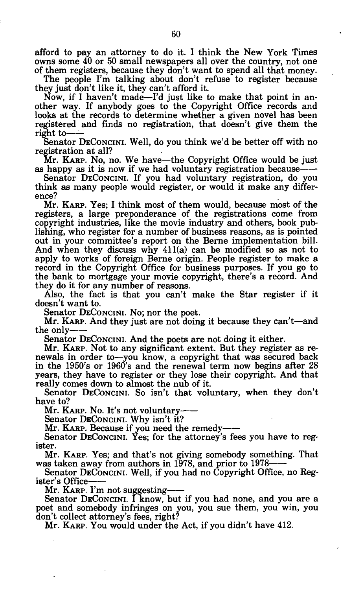afford to pay an attorney to do it. I think the New York Times owns some 40 or 50 small newspapers all over the country, not one of them registers, because they don't want to spend all that money.

The people I'm talking about don't refuse to register because they just don't like it, they can't afford it.

Now, if I haven't made—I'd just like to make that point in another way. If anybody goes to the Copyright Office records and looks at the records to determine whether a given novel has been registered and finds no registration, that doesn't give them the right to-

Senator DECONCINI. Well, do you think we'd be better off with no registration at all?

Mr. KARP. NO, no. We have—the Copyright Office would be just as happy as it is now if we had voluntary registration because

Senator DECONCINI. If you had voluntary registration, do you think as many people would register, or would it make any difference?

Mr. KARP. Yes; I think most of them would, because most of the registers, a large preponderance of the registrations come from copyright industries, like the movie industry and others, book publishing, who register for a number of business reasons, as is pointed out in your committee's report on the Berne implementation bill. And when they discuss why 411(a) can be modified so as not to apply to works of foreign Berne origin. People register to make a record in the Copyright Office for business purposes. If you go to the bank to mortgage your movie copyright, there's a record. And they do it for any number of reasons.

Also, the fact is that you can't make the Star register if it doesn't want to.

Senator DECONCINI. NO; nor the poet.

Mr. KARP. And they just are not doing it because they can't—and the only

Senator DECONCINI. And the poets are not doing it either.

Mr. KARP. Not to any significant extent. But they register as renewals in order to—you know, a copyright that was secured back in the 1950's or 1960's and the renewal term now begins after 28 years, they have to register or they lose their copyright. And that really comes down to almost the nub of it.

Senator DECONCINI. So isn't that voluntary, when they don't have to?

Mr. KARP. NO. It's not voluntary

Senator DECONCINI. Why isn't it?

Mr. KARP. Because if you need the remedy

Senator DECONCINI. Yes; for the attorney's fees you have to register.

Mr. KARP. Yes; and that's not giving somebody something. That was taken away from authors in 1978, and prior to 1978

Senator DECONCINI. Well, if you had no Copyright Office, no Register's Office

Mr. KARP. I'm not suggesting

Senator DECONCINI. I know, but if you had none, and you are a poet and somebody infringes on you, you sue them, you win, you don't collect attorney's fees, right?

Mr. KARP. YOU would under the Act, if you didn't have 412.

 $\sim$   $-$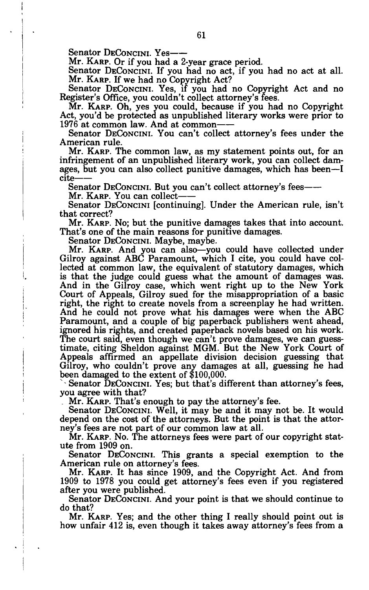Senator DECONCINI. Yes--

Mr. KARP. Or if you had a 2-year grace period.

Senator DECONCINI. If you had no act, if you had no act at all. Mr. KARP. If we had no Copyright Act?

Senator DECONCINI. Yes, if you had no Copyright Act and no Register's Office, you couldn't collect attorney's fees.

Mr. KARP. Oh, yes you could, because if you had no Copyright Act, you'd be protected as unpublished literary works were prior to 1976 at common law. And at common

Senator DECONCINI. You can't collect attorney's fees under the American rule.

Mr. KARP. The common law, as my statement points out, for an infringement of an unpublished literary work, you can collect damages, but you can also collect punitive damages, which has been—I cite

Senator DECONCINI. But you can't collect attorney's fees——

Mr. KARP. You can collect

Senator DECONCINI [continuing]. Under the American rule, isn't that correct?

Mr. KARP. NO; but the punitive damages takes that into account. That's one of the main reasons for punitive damages.

Senator DECONCINI. Maybe, maybe.

Mr. KARP. And you can also—you could have collected under Gilroy against ABC Paramount, which I cite, you could have collected at common law, the equivalent of statutory damages, which is that the judge could guess what the amount of damages was. And in the Gilroy case, which went right up to the New York Court of Appeals, Gilroy sued for the misappropriation of a basic right, the right to create novels from a screenplay he had written. And he could not prove what his damages were when the ABC Paramount, and a couple of big paperback publishers went ahead, ignored his rights, and created paperback novels based on his work. The court said, even though we can't prove damages, we can guesstimate, citing Sheldon against MGM. But the New York Court of Appeals affirmed an appellate division decision guessing that Gilroy, who couldn't prove any damages at all, guessing he had been damaged to the extent of \$100,000.

" - Senator DECONCINI. Yes; but that's different than attorney's fees, you agree with that?

. Mr. KARP. That's enough to pay the attorney's fee.

Senator DECONCINI. Well, it may be and it may not be. It would depend on the cost of the attorneys. But the point is that the attorney's fees are not part of our common law at all.

Mr. KARP. NO. The attorneys fees were part of our copyright statute from 1909 on.

Senator DECONCINI. This grants a special exemption to the American rule on attorney's fees.

Mr. KARP. It has since 1909, and the Copyright Act. And from 1909 to 1978 you could get attorney's fees even if you registered after you were published.

Senator DECONCINI. And your point is that we should continue to do that?

Mr. KARP. Yes; and the other thing I really should point out is how unfair 412 is, even though it takes away attorney's fees from a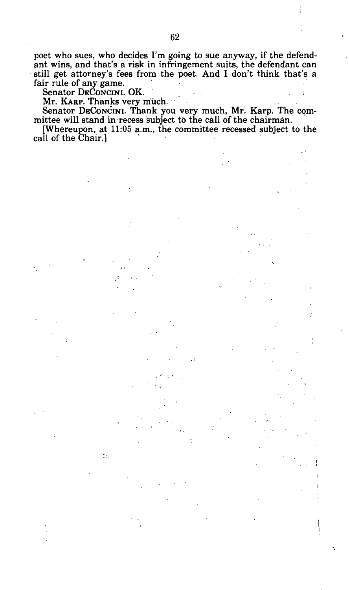poet who sues, who decides I'm going to sue anyway, if the defendant wins, and that's a risk in infringement suits, the defendant can still get attorney's fees from the poet. And I don't think that's a fair rule of any game.<br>Senator DECONCINI. OK.

Mr. KARP. Thanks very much. ..

ts.

Senator DECONCINI. Thank you very much, Mr. Karp. The committee will stand in recess subject to the call of the chairman.

[Whereupon, at, **11:05** a.m., the committee recessed subject to the call of the Chair.]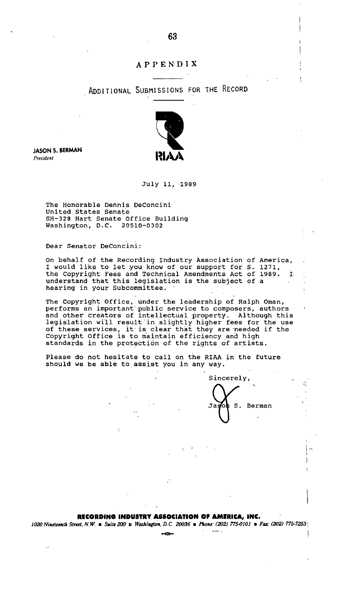## **APPENDIX**

## ADDITIONAL SUBMISSIONS FOR THE RECORD



**JASON S. BERMAN**  *President* 

#### July 11, **,1989**

The Honorable Dennis DeConcini United States Senate SH-328 Hart Senate Office Building Washington, D.C. 20510-0302

Dear Senator DeConcini:

On behalf of the Recording Industry Association of America, , I would like to 1et.you know of our support for S. 1271, the Copyright Fees and Technical Amendments Act of **1989.** I. , understand that this legislation is the subject of a hearing in your Subcommittee.

The Copyright Office, under the leadership of Ralph Oman,<br>performs an important public service to composers, authors<br>and other creators of intellectual property. Although this<br>legislation will result in slightly higher fee Copyright Office is to maintain efficiency and high standards in the protection of the rights of artists.

Please do not hesitate to call on the RIAA in the future should we be able to,assist you in any way.



#### **RECORDING INDUSTRY ASSOCIATION OF AMERICA, INC.**

**1020 Nineteenth Street, N.W. a Suite 200 a Washington, D.C. 20036 <b>a** Phone: (202) 775-0101 **a** Fax: (202) 775-7253 **!**<br>|<br>|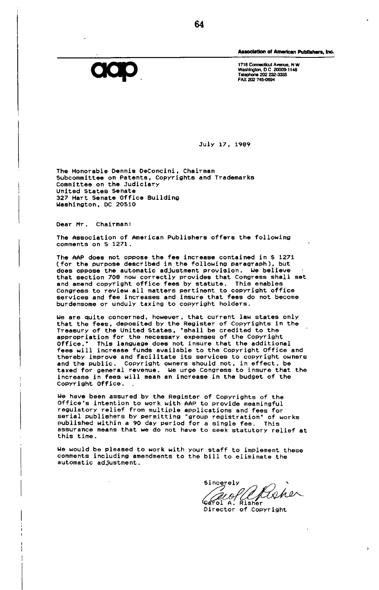

**Association of American Publishera, Inc.** 

**1718 Connecticut Avenue. N W Washington, D C 20009-1148 Telephone 202 232-3335 FAX 202 745-0694** 

**July 17, 1989** 

**The Honorable Dennis DeConcini, Chairman Subcommittee on Patents, Copyrights and Trademarks Committee on the Judiciary United States Senate 327 Hart Senate Office Building Washington, DC 20S10** 

**Dear Mr. Chairman:** 

**The Association of American Publishers offers the following comments on S 1271.** 

**The AAP does not oppose the fee increase contained in S 1271 (for the purpose described in the following paragraph), but does oppose the automatic adjustment provision, we believe that section 708 now correctly provides that Congress shall set and amend copyright office fees by statute. This enables Congress to review all matters pertinent to copyright office services and fee increases and insure that fees do not become burdensome or unduly taxing to copyright holders.** 

**We are quite concerned, however, that current law states only that the fees, deposited by the Register of Copyrights in the Treasury of the United States, "shall be credited to the appropriation for the necessary expenses of the Copyright Office." This language does not insure that the additional fees will increase funds available to the Copyright Office and thereby improve and facilitate its services to copyright owners and the public. Copyright owners should not, in effect, be taxed for general revenue. We urge Congress to insure that the increase in fees will mean an increase in the budget of the Copyright Office.** 

**we have been assured by the Register of Copyrights of the Office's intention to work with AAP to provide meaningful regulatory relief from multiple applications and fees for serial publishers by permitting "group registration" of works published within a 90 day period for a single fee. This assurance means that we do not have to seek statutory relief at this time.** 

**We would be pleased to work with your staff to implement these comments including amendments to the bill to eliminate the automatic adjustment.** 

**Sincerely rol A. Risher** 

 $\overline{\mathbf{r}}$ 

**Director of Copyright**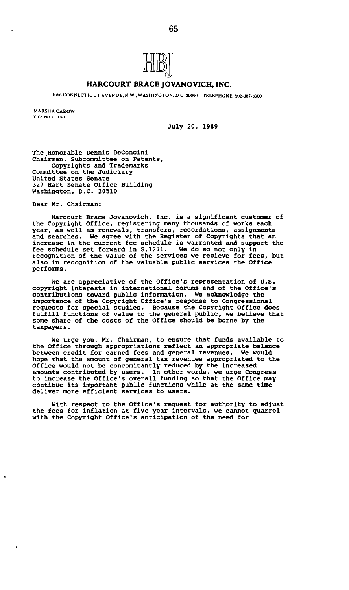

#### **HARCOURT BRACE JOVANOVICH, INC.**

I666 CONNECTICU | AVENUE, N W . WASHINGTON, D C 20009 TELEPHONE 202-387-3900

MARSHA CAROW **VICE PRESIDENT** 

**July 20, 1989** 

**The .Honorable Dennis DeConcini Chairman, Subcommittee on Patents, Copyrights and Trademarks Committee on the Judiciary United States Senate 327 Hart Senate Office Building Washington, D.C. 20510** 

**Dear Mr. Chairman:** 

**Harcourt Brace Jovanovich, Inc. is a significant customer of the Copyright Office, registering many thousands of works each year, as well as renewals, transfers, recordations, assignments and searches. We agree with the Register of Copyrights that an increase in the current fee schedule is warranted and support the fee schedule set forward in S.1271. We do so not only in recognition of the value of the services we recieve for fees, but also in recognition of the valuable public services the Office performs.** 

**We are appreciative of the Office's representation of U.S. copyright interests in international forums and of the Office's contributions toward public information. We acknowledge the importance of the Copyright Office's response to Congressional requests for special studies. Because the Copyright Office does fulfill functions of value to the general public, we believe that some share of the costs of the Office should be borne by the taxpayers.** 

**We urge you, Mr. Chairman, to ensure that funds available to the Office through appropriations reflect an appropriate balance between credit for earned fees and general revenues. We would hope that the amount of general tax revenues appropriated to the Office would not be concomitantly reduced by the increased amounts contributed by users. In other words, we urge Congress to increase the Office's overall funding so that the Office may continue its important public functions while at the same time deliver more efficient services to users.** 

**With respect to the Office's request for authority to adjust the fees for inflation at five year intervals, we cannot quarrel with the Copyright Office's anticipation of the need for**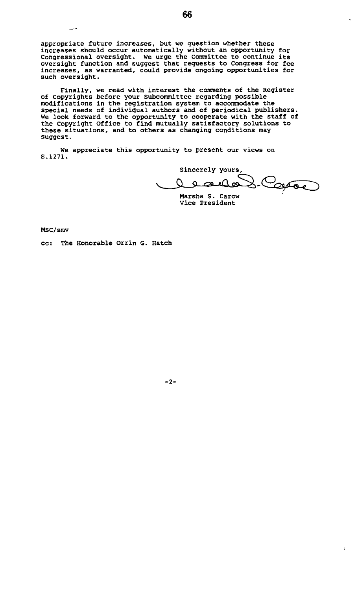appropriate future increases, but we question whether these increases should occur automatically without an opportunity for Congressional oversight. We urge the Committee to continue its oversight function and suggest that requests to Congress for fee increases, as warranted, could provide ongoing opportunities for such oversight.

Finally, we read with interest the comments of the Register of Copyrights before your Subcommittee regarding possible modifications in the registration system to accommodate the special needs of individual authors and of periodical publishers. We look forward to the opportunity to cooperate with the staff of the Copyright Office to find mutually satisfactory solutions to these situations, and to others as changing conditions may suggest.

We appreciate this opportunity to present our views on S.1271.

sincerely yours.<br>Q a august Coppe

 $\overline{a}$ 

 $\overline{1}$ 

Marsha S. Carow Vice President

MSC/smv

Щ.

cc: The Honorable Orrin G. Hatch

66

-2-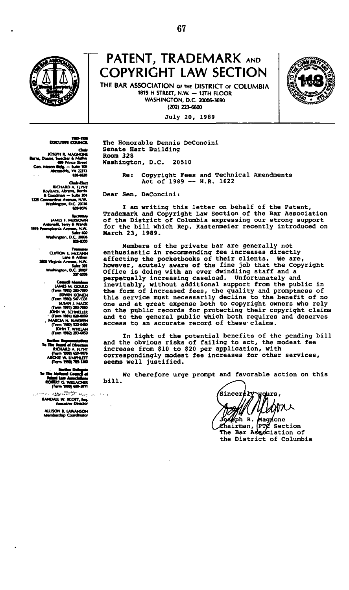

## **PATENT, TRADEMARK AND COPYRIGHT LAW SECTION**

**THE BAR ASSOCIATION of THE DISTRICT OF COLUMBIA 1819 H STREET, N.W. — 12TH FLOOR WASHINGTON, D.C. 20006-3690 (202)223-6600** 

**Jul y 20 , 1989** 

The Honorable Dennis DeConcini

Senate Hart Building

Dear Sen. DeConcini:

Washington, D.C. 20510

Room 328



**JOSEPH R. MAGNONE •arm, Ooene. Imili i 1 Media C9v nlnct 5cwt C o . Ma n ade, - Sune « 0 AfaaeMa. VA 223U** 

**RICHARD A • Coodnaa - SuR< 204 12a CoaaxOail Avenue, N.W. Wetkkvjton, D C 20036**  *mum* 

**IAMES F. A** Antonelii, Terry & Wands<br>**1919 Pennsylvania Avenue, N.W. Sun\* COO vV»Mi«)m, D.C loo t** 

> **CLffTON E. McCANN LeneliAAten 2400 Virginia Avenue, N.W. Suite 301 WaMnfBn , O.C 200J7 137-SSSt**

> > **IAMES M. COULD (Term 1912) 293-?9f0 EDWIN KOMEN (Tenn TISu) SC-1331 SUSAN I. MACK (Tennis\*!) 293-JQIQ IOKN W. SCKNEUER ' (Term 1991) 82M0D0 , MAROA H SUNDEEN (Tenn 1990) 523-0\*30 IOHNT. WHELAN (Tenn 1992) 2994950**

**T\*n » Berne) ei c RKHARD A. HVNT (Term 9990) C59407C ARCHIE W. UMMET T (Term 1990) 795-1390** 

**XT C. WELACHER (term T9B0I (59-2911** 

 $\ddotsc$ 

 $\sim$   $\epsilon$  $\sim$ **RANDAU W. SCOTT,\*\*), executive Deecror** 

**ALLISON t . tAWANSON** 

I am writing this letter on behalf of the Patent, Trademark and Copyright Law Section of the Bar Association of the District of Columbia expressing our strong support for the bill which Rep. Kastenmeier recently introduced on March 23, 1989.

Re: Copyright Fees and Technical Amendments<br>Act of 1989 -- H.R. 1622

Members of the private bar are generally not enthusiastic in recommending fee increases directly affecting the pocketbooks of their clients. We are, however, acutely aware of the fine job that the Copyright Office is doing with an ever dwindling staff and a perpetually increasing caseload. Unfortunately and<br>inevitably, without additional support from the public in<br>the form of increased fees, the quality and promptness of<br>this service must necessarily decline to the benefit of

In light of the potential benefits of the pending bill **and** the obvious risks of failing to act, the modest fee increase from \$10 to \$20 per application, with correspondingly modest fee increases for other services, seems well justified.

bill. We therefore urge prompt and favorable action on this

Sincerery vours,

ph R. **Magnone<br>PTZ Section** ehairman, PTe The Bar Association of the District of Columbia